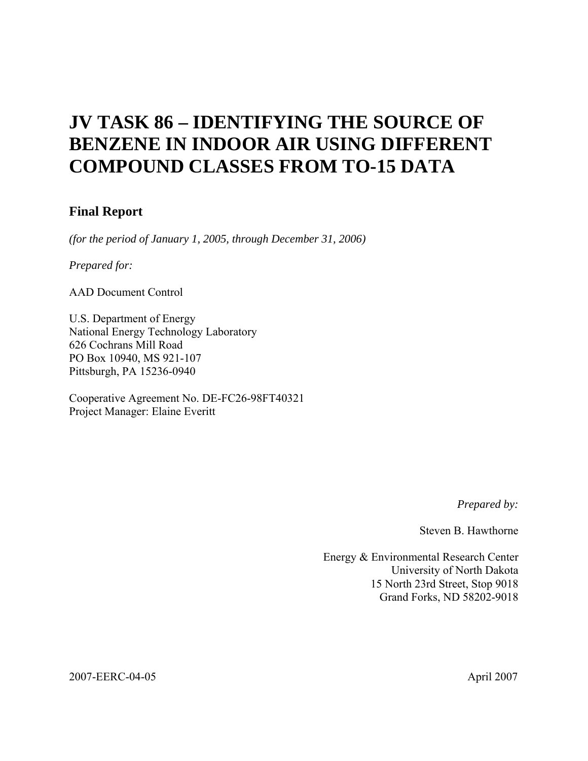## **JV TASK 86 – IDENTIFYING THE SOURCE OF BENZENE IN INDOOR AIR USING DIFFERENT COMPOUND CLASSES FROM TO-15 DATA**

## **Final Report**

*(for the period of January 1, 2005, through December 31, 2006)* 

*Prepared for:* 

AAD Document Control

U.S. Department of Energy National Energy Technology Laboratory 626 Cochrans Mill Road PO Box 10940, MS 921-107 Pittsburgh, PA 15236-0940

Cooperative Agreement No. DE-FC26-98FT40321 Project Manager: Elaine Everitt

*Prepared by:* 

Steven B. Hawthorne

Energy & Environmental Research Center University of North Dakota 15 North 23rd Street, Stop 9018 Grand Forks, ND 58202-9018

2007-EERC-04-05 April 2007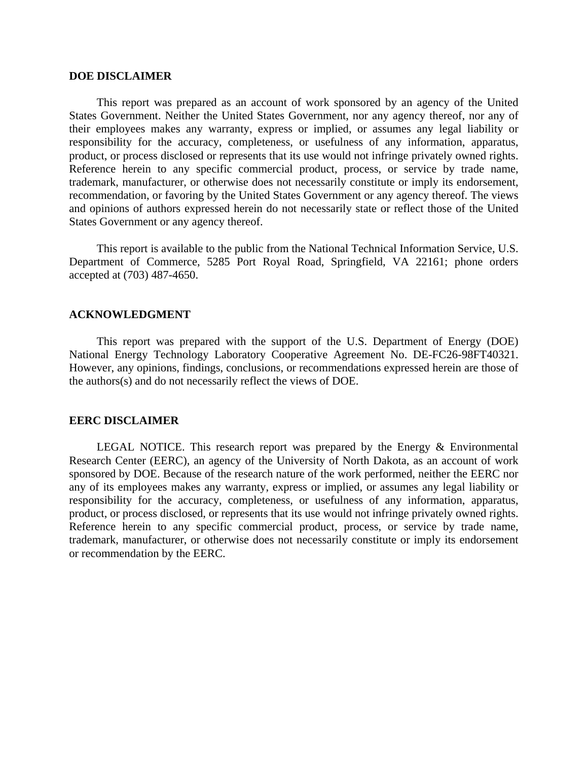### **DOE DISCLAIMER**

 This report was prepared as an account of work sponsored by an agency of the United States Government. Neither the United States Government, nor any agency thereof, nor any of their employees makes any warranty, express or implied, or assumes any legal liability or responsibility for the accuracy, completeness, or usefulness of any information, apparatus, product, or process disclosed or represents that its use would not infringe privately owned rights. Reference herein to any specific commercial product, process, or service by trade name, trademark, manufacturer, or otherwise does not necessarily constitute or imply its endorsement, recommendation, or favoring by the United States Government or any agency thereof. The views and opinions of authors expressed herein do not necessarily state or reflect those of the United States Government or any agency thereof.

 This report is available to the public from the National Technical Information Service, U.S. Department of Commerce, 5285 Port Royal Road, Springfield, VA 22161; phone orders accepted at (703) 487-4650.

#### **ACKNOWLEDGMENT**

 This report was prepared with the support of the U.S. Department of Energy (DOE) National Energy Technology Laboratory Cooperative Agreement No. DE-FC26-98FT40321. However, any opinions, findings, conclusions, or recommendations expressed herein are those of the authors(s) and do not necessarily reflect the views of DOE.

#### **EERC DISCLAIMER**

LEGAL NOTICE. This research report was prepared by the Energy & Environmental Research Center (EERC), an agency of the University of North Dakota, as an account of work sponsored by DOE. Because of the research nature of the work performed, neither the EERC nor any of its employees makes any warranty, express or implied, or assumes any legal liability or responsibility for the accuracy, completeness, or usefulness of any information, apparatus, product, or process disclosed, or represents that its use would not infringe privately owned rights. Reference herein to any specific commercial product, process, or service by trade name, trademark, manufacturer, or otherwise does not necessarily constitute or imply its endorsement or recommendation by the EERC.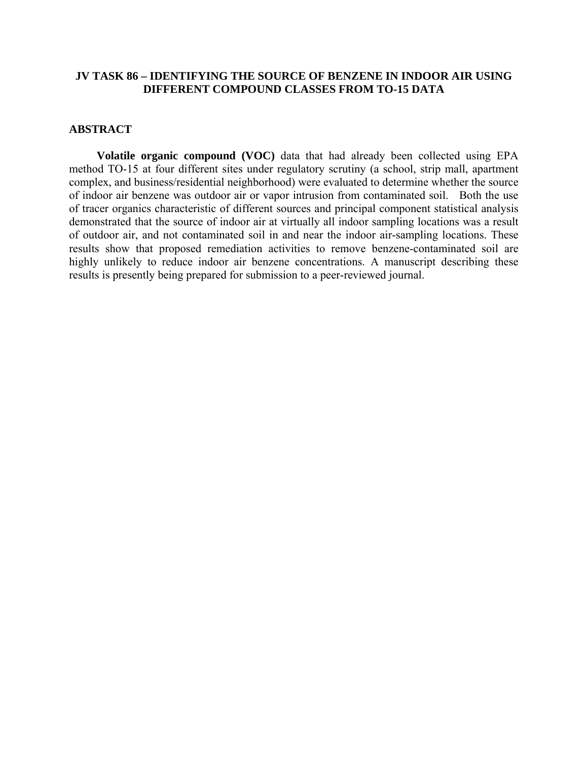## **JV TASK 86 – IDENTIFYING THE SOURCE OF BENZENE IN INDOOR AIR USING DIFFERENT COMPOUND CLASSES FROM TO-15 DATA**

## **ABSTRACT**

 **Volatile organic compound (VOC)** data that had already been collected using EPA method TO-15 at four different sites under regulatory scrutiny (a school, strip mall, apartment complex, and business/residential neighborhood) were evaluated to determine whether the source of indoor air benzene was outdoor air or vapor intrusion from contaminated soil. Both the use of tracer organics characteristic of different sources and principal component statistical analysis demonstrated that the source of indoor air at virtually all indoor sampling locations was a result of outdoor air, and not contaminated soil in and near the indoor air-sampling locations. These results show that proposed remediation activities to remove benzene-contaminated soil are highly unlikely to reduce indoor air benzene concentrations. A manuscript describing these results is presently being prepared for submission to a peer-reviewed journal.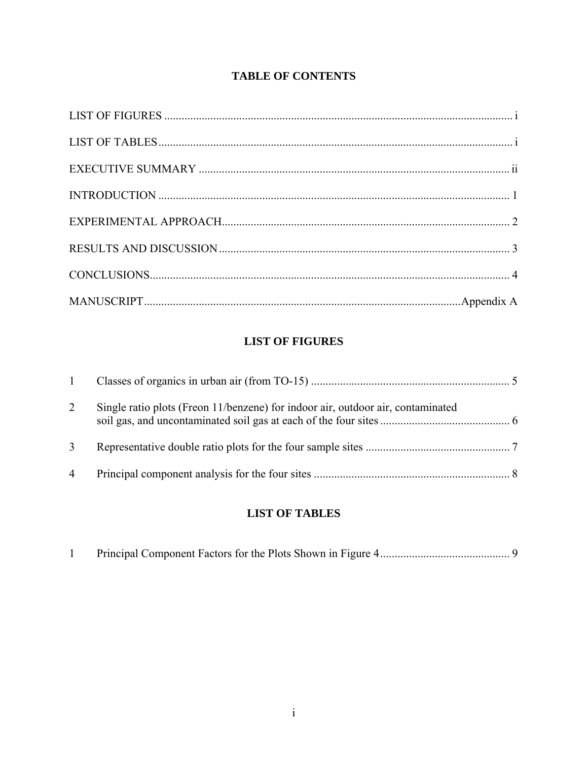## **TABLE OF CONTENTS**

## **LIST OF FIGURES**

| 1              |                                                                                 |  |
|----------------|---------------------------------------------------------------------------------|--|
| 2              | Single ratio plots (Freon 11/benzene) for indoor air, outdoor air, contaminated |  |
|                |                                                                                 |  |
| $\overline{4}$ |                                                                                 |  |

## **LIST OF TABLES**

|--|--|--|--|--|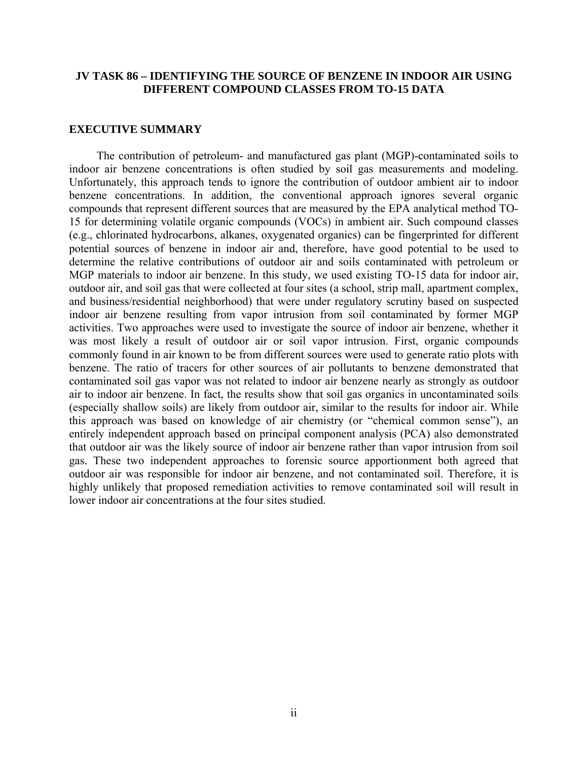## **JV TASK 86 – IDENTIFYING THE SOURCE OF BENZENE IN INDOOR AIR USING DIFFERENT COMPOUND CLASSES FROM TO-15 DATA**

## **EXECUTIVE SUMMARY**

 The contribution of petroleum- and manufactured gas plant (MGP)-contaminated soils to indoor air benzene concentrations is often studied by soil gas measurements and modeling. Unfortunately, this approach tends to ignore the contribution of outdoor ambient air to indoor benzene concentrations. In addition, the conventional approach ignores several organic compounds that represent different sources that are measured by the EPA analytical method TO-15 for determining volatile organic compounds (VOCs) in ambient air. Such compound classes (e.g., chlorinated hydrocarbons, alkanes, oxygenated organics) can be fingerprinted for different potential sources of benzene in indoor air and, therefore, have good potential to be used to determine the relative contributions of outdoor air and soils contaminated with petroleum or MGP materials to indoor air benzene. In this study, we used existing TO-15 data for indoor air, outdoor air, and soil gas that were collected at four sites (a school, strip mall, apartment complex, and business/residential neighborhood) that were under regulatory scrutiny based on suspected indoor air benzene resulting from vapor intrusion from soil contaminated by former MGP activities. Two approaches were used to investigate the source of indoor air benzene, whether it was most likely a result of outdoor air or soil vapor intrusion. First, organic compounds commonly found in air known to be from different sources were used to generate ratio plots with benzene. The ratio of tracers for other sources of air pollutants to benzene demonstrated that contaminated soil gas vapor was not related to indoor air benzene nearly as strongly as outdoor air to indoor air benzene. In fact, the results show that soil gas organics in uncontaminated soils (especially shallow soils) are likely from outdoor air, similar to the results for indoor air. While this approach was based on knowledge of air chemistry (or "chemical common sense"), an entirely independent approach based on principal component analysis (PCA) also demonstrated that outdoor air was the likely source of indoor air benzene rather than vapor intrusion from soil gas. These two independent approaches to forensic source apportionment both agreed that outdoor air was responsible for indoor air benzene, and not contaminated soil. Therefore, it is highly unlikely that proposed remediation activities to remove contaminated soil will result in lower indoor air concentrations at the four sites studied.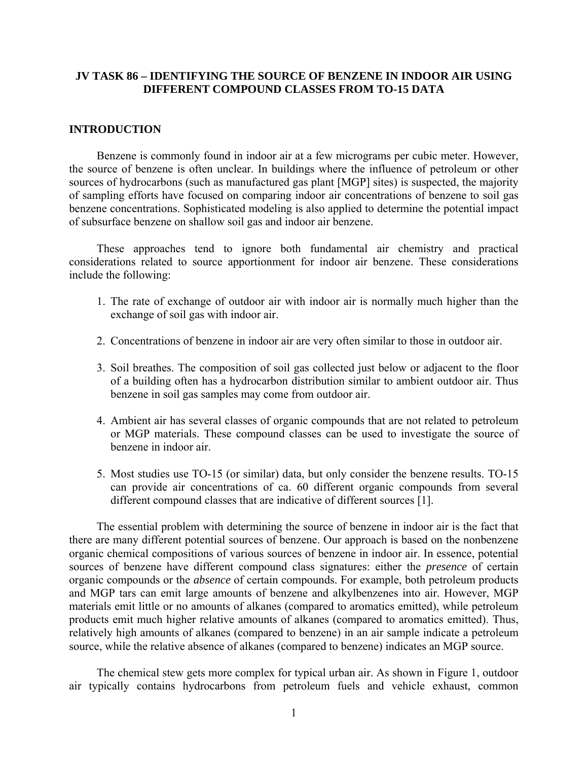## **JV TASK 86 – IDENTIFYING THE SOURCE OF BENZENE IN INDOOR AIR USING DIFFERENT COMPOUND CLASSES FROM TO-15 DATA**

## **INTRODUCTION**

 Benzene is commonly found in indoor air at a few micrograms per cubic meter. However, the source of benzene is often unclear. In buildings where the influence of petroleum or other sources of hydrocarbons (such as manufactured gas plant [MGP] sites) is suspected, the majority of sampling efforts have focused on comparing indoor air concentrations of benzene to soil gas benzene concentrations. Sophisticated modeling is also applied to determine the potential impact of subsurface benzene on shallow soil gas and indoor air benzene.

 These approaches tend to ignore both fundamental air chemistry and practical considerations related to source apportionment for indoor air benzene. These considerations include the following:

- 1. The rate of exchange of outdoor air with indoor air is normally much higher than the exchange of soil gas with indoor air.
- 2. Concentrations of benzene in indoor air are very often similar to those in outdoor air.
- 3. Soil breathes. The composition of soil gas collected just below or adjacent to the floor of a building often has a hydrocarbon distribution similar to ambient outdoor air. Thus benzene in soil gas samples may come from outdoor air.
- 4. Ambient air has several classes of organic compounds that are not related to petroleum or MGP materials. These compound classes can be used to investigate the source of benzene in indoor air.
- 5. Most studies use TO-15 (or similar) data, but only consider the benzene results. TO-15 can provide air concentrations of ca. 60 different organic compounds from several different compound classes that are indicative of different sources [1].

 The essential problem with determining the source of benzene in indoor air is the fact that there are many different potential sources of benzene. Our approach is based on the nonbenzene organic chemical compositions of various sources of benzene in indoor air. In essence, potential sources of benzene have different compound class signatures: either the *presence* of certain organic compounds or the *absence* of certain compounds. For example, both petroleum products and MGP tars can emit large amounts of benzene and alkylbenzenes into air. However, MGP materials emit little or no amounts of alkanes (compared to aromatics emitted), while petroleum products emit much higher relative amounts of alkanes (compared to aromatics emitted). Thus, relatively high amounts of alkanes (compared to benzene) in an air sample indicate a petroleum source, while the relative absence of alkanes (compared to benzene) indicates an MGP source.

 The chemical stew gets more complex for typical urban air. As shown in Figure 1, outdoor air typically contains hydrocarbons from petroleum fuels and vehicle exhaust, common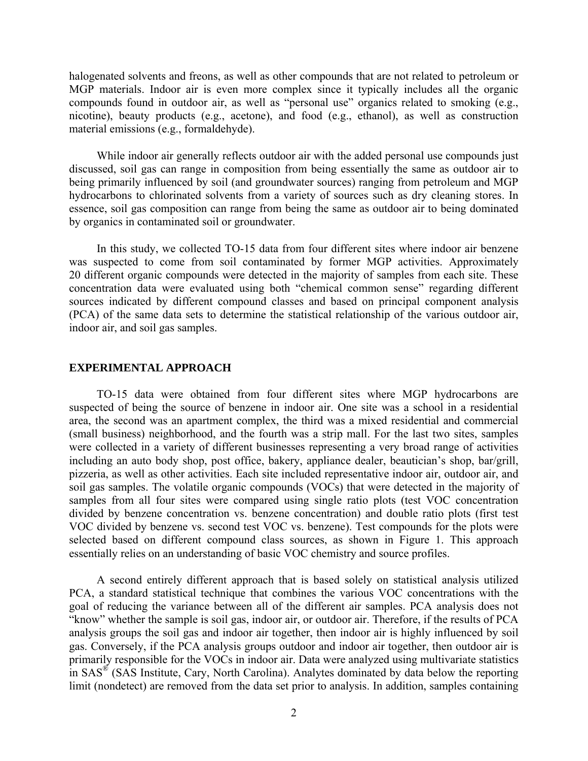halogenated solvents and freons, as well as other compounds that are not related to petroleum or MGP materials. Indoor air is even more complex since it typically includes all the organic compounds found in outdoor air, as well as "personal use" organics related to smoking (e.g., nicotine), beauty products (e.g., acetone), and food (e.g., ethanol), as well as construction material emissions (e.g., formaldehyde).

 While indoor air generally reflects outdoor air with the added personal use compounds just discussed, soil gas can range in composition from being essentially the same as outdoor air to being primarily influenced by soil (and groundwater sources) ranging from petroleum and MGP hydrocarbons to chlorinated solvents from a variety of sources such as dry cleaning stores. In essence, soil gas composition can range from being the same as outdoor air to being dominated by organics in contaminated soil or groundwater.

 In this study, we collected TO-15 data from four different sites where indoor air benzene was suspected to come from soil contaminated by former MGP activities. Approximately 20 different organic compounds were detected in the majority of samples from each site. These concentration data were evaluated using both "chemical common sense" regarding different sources indicated by different compound classes and based on principal component analysis (PCA) of the same data sets to determine the statistical relationship of the various outdoor air, indoor air, and soil gas samples.

#### **EXPERIMENTAL APPROACH**

 TO-15 data were obtained from four different sites where MGP hydrocarbons are suspected of being the source of benzene in indoor air. One site was a school in a residential area, the second was an apartment complex, the third was a mixed residential and commercial (small business) neighborhood, and the fourth was a strip mall. For the last two sites, samples were collected in a variety of different businesses representing a very broad range of activities including an auto body shop, post office, bakery, appliance dealer, beautician's shop, bar/grill, pizzeria, as well as other activities. Each site included representative indoor air, outdoor air, and soil gas samples. The volatile organic compounds (VOCs) that were detected in the majority of samples from all four sites were compared using single ratio plots (test VOC concentration divided by benzene concentration vs. benzene concentration) and double ratio plots (first test VOC divided by benzene vs. second test VOC vs. benzene). Test compounds for the plots were selected based on different compound class sources, as shown in Figure 1. This approach essentially relies on an understanding of basic VOC chemistry and source profiles.

 A second entirely different approach that is based solely on statistical analysis utilized PCA, a standard statistical technique that combines the various VOC concentrations with the goal of reducing the variance between all of the different air samples. PCA analysis does not "know" whether the sample is soil gas, indoor air, or outdoor air. Therefore, if the results of PCA analysis groups the soil gas and indoor air together, then indoor air is highly influenced by soil gas. Conversely, if the PCA analysis groups outdoor and indoor air together, then outdoor air is primarily responsible for the VOCs in indoor air. Data were analyzed using multivariate statistics in  $SAS^{\otimes}$  (SAS Institute, Cary, North Carolina). Analytes dominated by data below the reporting limit (nondetect) are removed from the data set prior to analysis. In addition, samples containing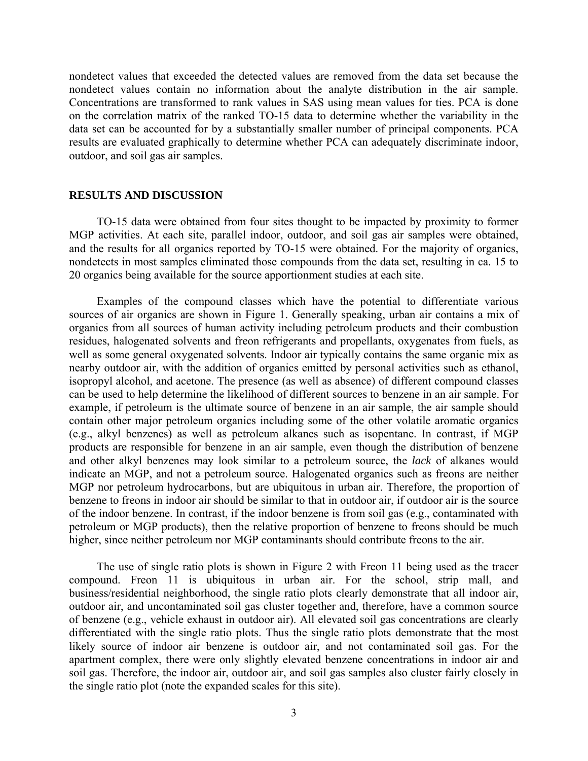nondetect values that exceeded the detected values are removed from the data set because the nondetect values contain no information about the analyte distribution in the air sample. Concentrations are transformed to rank values in SAS using mean values for ties. PCA is done on the correlation matrix of the ranked TO-15 data to determine whether the variability in the data set can be accounted for by a substantially smaller number of principal components. PCA results are evaluated graphically to determine whether PCA can adequately discriminate indoor, outdoor, and soil gas air samples.

## **RESULTS AND DISCUSSION**

 TO-15 data were obtained from four sites thought to be impacted by proximity to former MGP activities. At each site, parallel indoor, outdoor, and soil gas air samples were obtained, and the results for all organics reported by TO-15 were obtained. For the majority of organics, nondetects in most samples eliminated those compounds from the data set, resulting in ca. 15 to 20 organics being available for the source apportionment studies at each site.

 Examples of the compound classes which have the potential to differentiate various sources of air organics are shown in Figure 1. Generally speaking, urban air contains a mix of organics from all sources of human activity including petroleum products and their combustion residues, halogenated solvents and freon refrigerants and propellants, oxygenates from fuels, as well as some general oxygenated solvents. Indoor air typically contains the same organic mix as nearby outdoor air, with the addition of organics emitted by personal activities such as ethanol, isopropyl alcohol, and acetone. The presence (as well as absence) of different compound classes can be used to help determine the likelihood of different sources to benzene in an air sample. For example, if petroleum is the ultimate source of benzene in an air sample, the air sample should contain other major petroleum organics including some of the other volatile aromatic organics (e.g., alkyl benzenes) as well as petroleum alkanes such as isopentane. In contrast, if MGP products are responsible for benzene in an air sample, even though the distribution of benzene and other alkyl benzenes may look similar to a petroleum source, the *lack* of alkanes would indicate an MGP, and not a petroleum source. Halogenated organics such as freons are neither MGP nor petroleum hydrocarbons, but are ubiquitous in urban air. Therefore, the proportion of benzene to freons in indoor air should be similar to that in outdoor air, if outdoor air is the source of the indoor benzene. In contrast, if the indoor benzene is from soil gas (e.g., contaminated with petroleum or MGP products), then the relative proportion of benzene to freons should be much higher, since neither petroleum nor MGP contaminants should contribute freons to the air.

 The use of single ratio plots is shown in Figure 2 with Freon 11 being used as the tracer compound. Freon 11 is ubiquitous in urban air. For the school, strip mall, and business/residential neighborhood, the single ratio plots clearly demonstrate that all indoor air, outdoor air, and uncontaminated soil gas cluster together and, therefore, have a common source of benzene (e.g., vehicle exhaust in outdoor air). All elevated soil gas concentrations are clearly differentiated with the single ratio plots. Thus the single ratio plots demonstrate that the most likely source of indoor air benzene is outdoor air, and not contaminated soil gas. For the apartment complex, there were only slightly elevated benzene concentrations in indoor air and soil gas. Therefore, the indoor air, outdoor air, and soil gas samples also cluster fairly closely in the single ratio plot (note the expanded scales for this site).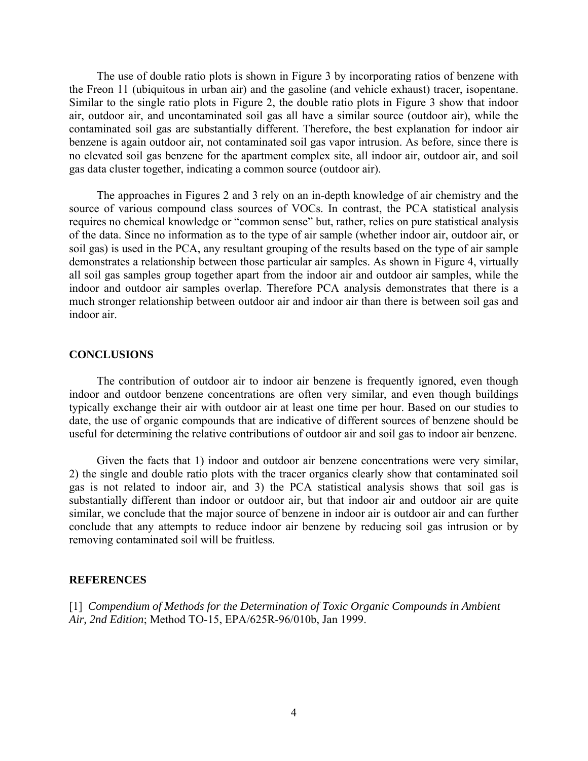The use of double ratio plots is shown in Figure 3 by incorporating ratios of benzene with the Freon 11 (ubiquitous in urban air) and the gasoline (and vehicle exhaust) tracer, isopentane. Similar to the single ratio plots in Figure 2, the double ratio plots in Figure 3 show that indoor air, outdoor air, and uncontaminated soil gas all have a similar source (outdoor air), while the contaminated soil gas are substantially different. Therefore, the best explanation for indoor air benzene is again outdoor air, not contaminated soil gas vapor intrusion. As before, since there is no elevated soil gas benzene for the apartment complex site, all indoor air, outdoor air, and soil gas data cluster together, indicating a common source (outdoor air).

 The approaches in Figures 2 and 3 rely on an in-depth knowledge of air chemistry and the source of various compound class sources of VOCs. In contrast, the PCA statistical analysis requires no chemical knowledge or "common sense" but, rather, relies on pure statistical analysis of the data. Since no information as to the type of air sample (whether indoor air, outdoor air, or soil gas) is used in the PCA, any resultant grouping of the results based on the type of air sample demonstrates a relationship between those particular air samples. As shown in Figure 4, virtually all soil gas samples group together apart from the indoor air and outdoor air samples, while the indoor and outdoor air samples overlap. Therefore PCA analysis demonstrates that there is a much stronger relationship between outdoor air and indoor air than there is between soil gas and indoor air.

## **CONCLUSIONS**

 The contribution of outdoor air to indoor air benzene is frequently ignored, even though indoor and outdoor benzene concentrations are often very similar, and even though buildings typically exchange their air with outdoor air at least one time per hour. Based on our studies to date, the use of organic compounds that are indicative of different sources of benzene should be useful for determining the relative contributions of outdoor air and soil gas to indoor air benzene.

 Given the facts that 1) indoor and outdoor air benzene concentrations were very similar, 2) the single and double ratio plots with the tracer organics clearly show that contaminated soil gas is not related to indoor air, and 3) the PCA statistical analysis shows that soil gas is substantially different than indoor or outdoor air, but that indoor air and outdoor air are quite similar, we conclude that the major source of benzene in indoor air is outdoor air and can further conclude that any attempts to reduce indoor air benzene by reducing soil gas intrusion or by removing contaminated soil will be fruitless.

#### **REFERENCES**

[1] *Compendium of Methods for the Determination of Toxic Organic Compounds in Ambient Air, 2nd Edition*; Method TO-15, EPA/625R-96/010b, Jan 1999.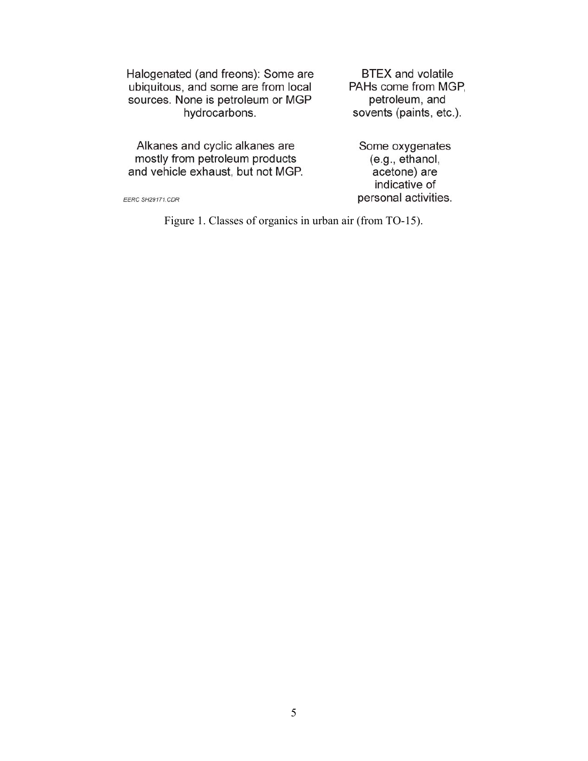Halogenated (and freons): Some are ubiquitous, and some are from local sources. None is petroleum or MGP hydrocarbons.

**BTEX** and volatile PAHs come from MGP, petroleum, and sovents (paints, etc.).

Alkanes and cyclic alkanes are<br>mostly from petroleum products<br>and vehicle exhaust, but not MGP.

Some oxygenates<br>(e.g., ethanol,<br>acetone) are indicative of personal activities.

EERC SH29171.CDR

Figure 1. Classes of organics in urban air (from TO-15).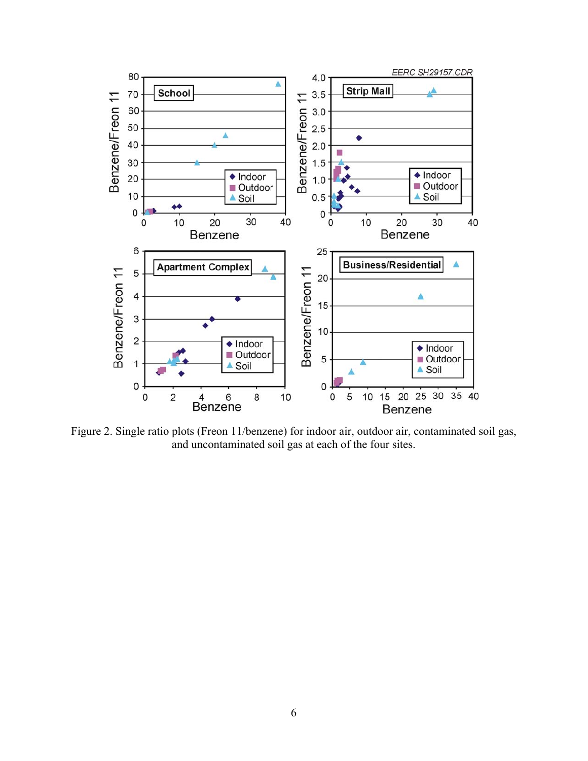

Figure 2. Single ratio plots (Freon 11/benzene) for indoor air, outdoor air, contaminated soil gas, and uncontaminated soil gas at each of the four sites.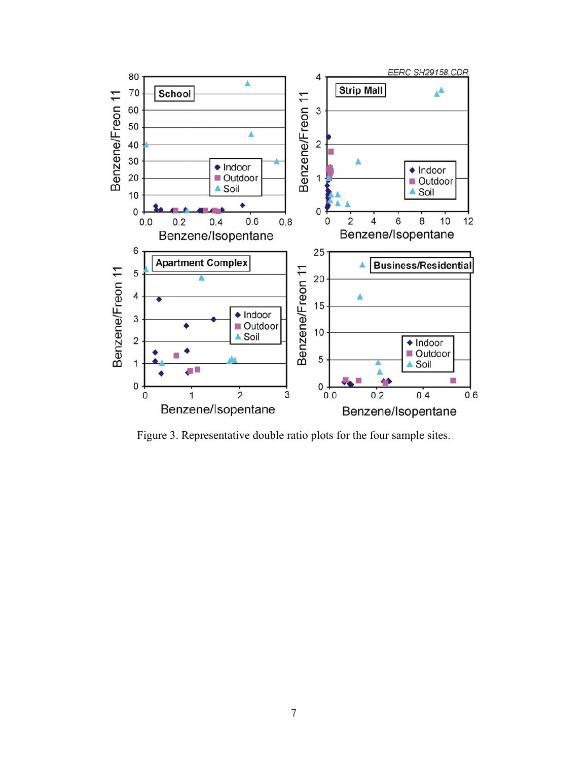

Figure 3. Representative double ratio plots for the four sample sites.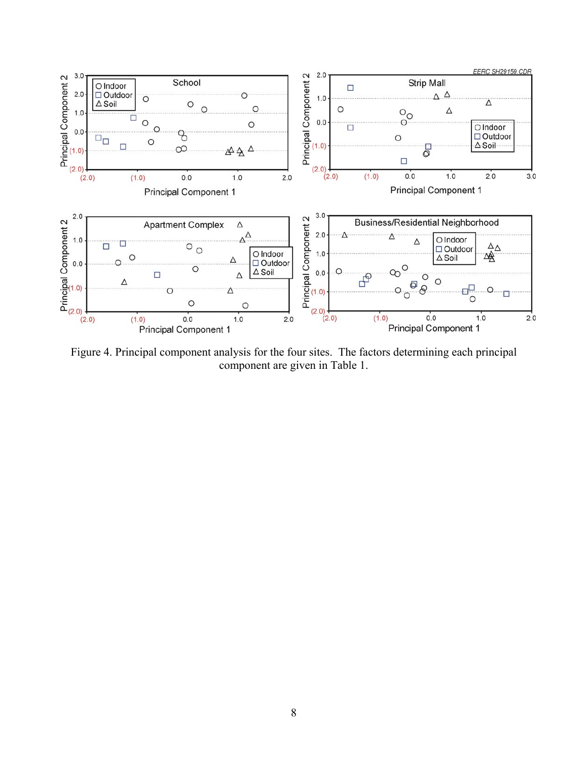

Figure 4. Principal component analysis for the four sites. The factors determining each principal component are given in Table 1.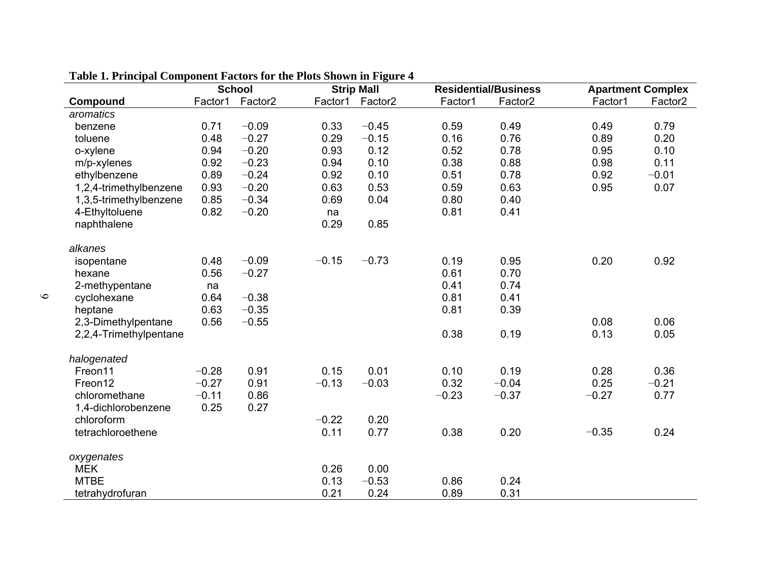|                        |         | <b>School</b>       |         | <b>Strip Mall</b> |         | <b>Residential/Business</b> |         | <b>Apartment Complex</b> |
|------------------------|---------|---------------------|---------|-------------------|---------|-----------------------------|---------|--------------------------|
| Compound               | Factor1 | Factor <sub>2</sub> | Factor1 | Factor2           | Factor1 | Factor <sub>2</sub>         | Factor1 | Factor <sub>2</sub>      |
| aromatics              |         |                     |         |                   |         |                             |         |                          |
| benzene                | 0.71    | $-0.09$             | 0.33    | $-0.45$           | 0.59    | 0.49                        | 0.49    | 0.79                     |
| toluene                | 0.48    | $-0.27$             | 0.29    | $-0.15$           | 0.16    | 0.76                        | 0.89    | 0.20                     |
| o-xylene               | 0.94    | $-0.20$             | 0.93    | 0.12              | 0.52    | 0.78                        | 0.95    | 0.10                     |
| m/p-xylenes            | 0.92    | $-0.23$             | 0.94    | 0.10              | 0.38    | 0.88                        | 0.98    | 0.11                     |
| ethylbenzene           | 0.89    | $-0.24$             | 0.92    | 0.10              | 0.51    | 0.78                        | 0.92    | $-0.01$                  |
| 1,2,4-trimethylbenzene | 0.93    | $-0.20$             | 0.63    | 0.53              | 0.59    | 0.63                        | 0.95    | 0.07                     |
| 1,3,5-trimethylbenzene | 0.85    | $-0.34$             | 0.69    | 0.04              | 0.80    | 0.40                        |         |                          |
| 4-Ethyltoluene         | 0.82    | $-0.20$             | na      |                   | 0.81    | 0.41                        |         |                          |
| naphthalene            |         |                     | 0.29    | 0.85              |         |                             |         |                          |
| alkanes                |         |                     |         |                   |         |                             |         |                          |
| isopentane             | 0.48    | $-0.09$             | $-0.15$ | $-0.73$           | 0.19    | 0.95                        | 0.20    | 0.92                     |
| hexane                 | 0.56    | $-0.27$             |         |                   | 0.61    | 0.70                        |         |                          |
| 2-methypentane         | na      |                     |         |                   | 0.41    | 0.74                        |         |                          |
| cyclohexane            | 0.64    | $-0.38$             |         |                   | 0.81    | 0.41                        |         |                          |
| heptane                | 0.63    | $-0.35$             |         |                   | 0.81    | 0.39                        |         |                          |
| 2,3-Dimethylpentane    | 0.56    | $-0.55$             |         |                   |         |                             | 0.08    | 0.06                     |
| 2,2,4-Trimethylpentane |         |                     |         |                   | 0.38    | 0.19                        | 0.13    | 0.05                     |
| halogenated            |         |                     |         |                   |         |                             |         |                          |
| Freon11                | $-0.28$ | 0.91                | 0.15    | 0.01              | 0.10    | 0.19                        | 0.28    | 0.36                     |
| Freon12                | $-0.27$ | 0.91                | $-0.13$ | $-0.03$           | 0.32    | $-0.04$                     | 0.25    | $-0.21$                  |
| chloromethane          | $-0.11$ | 0.86                |         |                   | $-0.23$ | $-0.37$                     | $-0.27$ | 0.77                     |
| 1,4-dichlorobenzene    | 0.25    | 0.27                |         |                   |         |                             |         |                          |
| chloroform             |         |                     | $-0.22$ | 0.20              |         |                             |         |                          |
| tetrachloroethene      |         |                     | 0.11    | 0.77              | 0.38    | 0.20                        | $-0.35$ | 0.24                     |
| oxygenates             |         |                     |         |                   |         |                             |         |                          |
| <b>MEK</b>             |         |                     | 0.26    | 0.00              |         |                             |         |                          |
| <b>MTBE</b>            |         |                     | 0.13    | $-0.53$           | 0.86    | 0.24                        |         |                          |
| tetrahydrofuran        |         |                     | 0.21    | 0.24              | 0.89    | 0.31                        |         |                          |

## **Table 1. Principal Component Factors for the Plots Shown in Figure 4**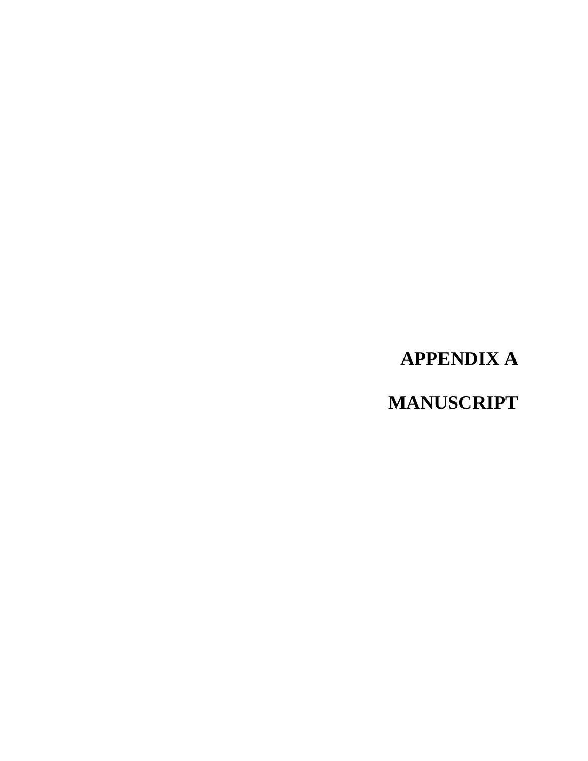## **APPENDIX A**

**MANUSCRIPT**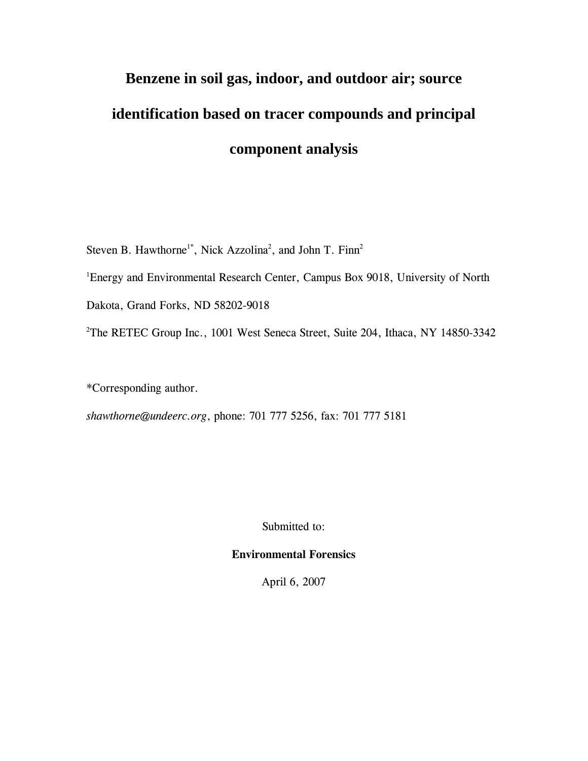# **Benzene in soil gas, indoor, and outdoor air; source identification based on tracer compounds and principal component analysis**

Steven B. Hawthorne<sup>1\*</sup>, Nick Azzolina<sup>2</sup>, and John T. Finn<sup>2</sup>

<sup>1</sup>Energy and Environmental Research Center, Campus Box 9018, University of North

Dakota, Grand Forks, ND 58202-9018

<sup>2</sup>The RETEC Group Inc., 1001 West Seneca Street, Suite 204, Ithaca, NY 14850-3342

\*Corresponding author.

*shawthorne@undeerc.org*, phone: 701 777 5256, fax: 701 777 5181

Submitted to:

## **Environmental Forensics**

April 6, 2007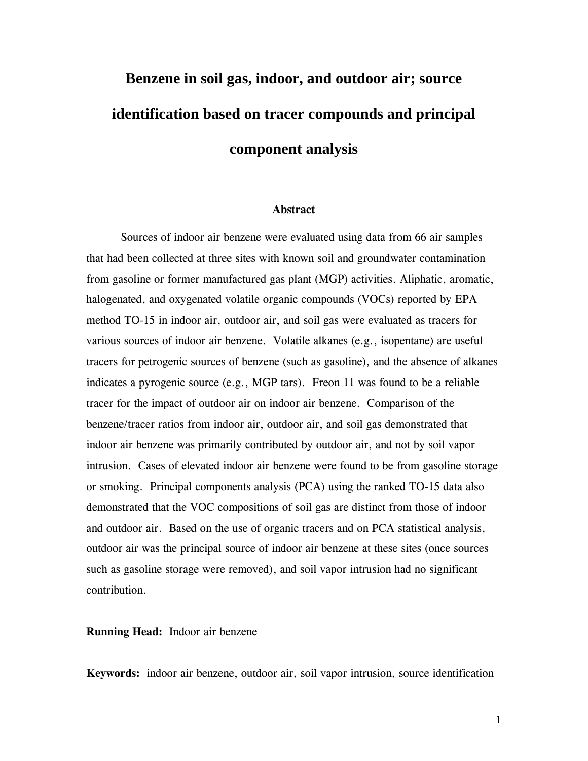# **Benzene in soil gas, indoor, and outdoor air; source identification based on tracer compounds and principal component analysis**

## **Abstract**

Sources of indoor air benzene were evaluated using data from 66 air samples that had been collected at three sites with known soil and groundwater contamination from gasoline or former manufactured gas plant (MGP) activities. Aliphatic, aromatic, halogenated, and oxygenated volatile organic compounds (VOCs) reported by EPA method TO-15 in indoor air, outdoor air, and soil gas were evaluated as tracers for various sources of indoor air benzene. Volatile alkanes (e.g., isopentane) are useful tracers for petrogenic sources of benzene (such as gasoline), and the absence of alkanes indicates a pyrogenic source (e.g., MGP tars). Freon 11 was found to be a reliable tracer for the impact of outdoor air on indoor air benzene. Comparison of the benzene/tracer ratios from indoor air, outdoor air, and soil gas demonstrated that indoor air benzene was primarily contributed by outdoor air, and not by soil vapor intrusion. Cases of elevated indoor air benzene were found to be from gasoline storage or smoking. Principal components analysis (PCA) using the ranked TO-15 data also demonstrated that the VOC compositions of soil gas are distinct from those of indoor and outdoor air. Based on the use of organic tracers and on PCA statistical analysis, outdoor air was the principal source of indoor air benzene at these sites (once sources such as gasoline storage were removed), and soil vapor intrusion had no significant contribution.

**Running Head:** Indoor air benzene

**Keywords:** indoor air benzene, outdoor air, soil vapor intrusion, source identification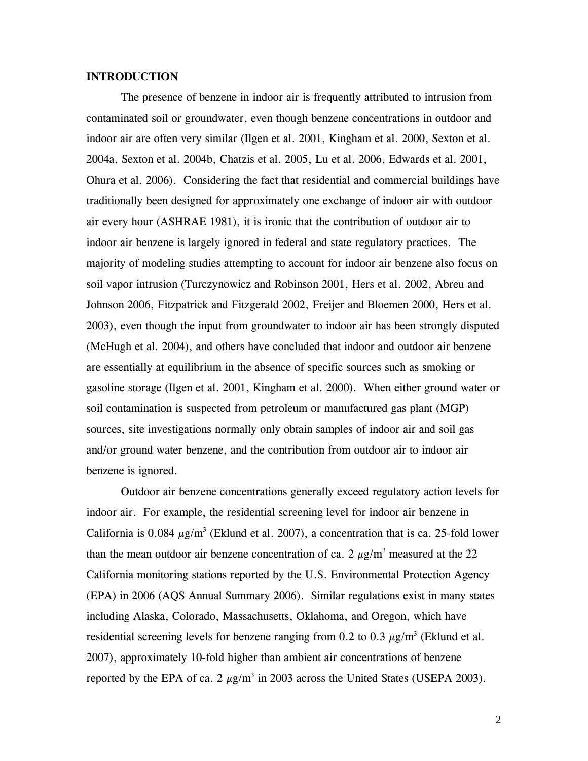## **INTRODUCTION**

The presence of benzene in indoor air is frequently attributed to intrusion from contaminated soil or groundwater, even though benzene concentrations in outdoor and indoor air are often very similar (Ilgen et al. 2001, Kingham et al. 2000, Sexton et al. 2004a, Sexton et al. 2004b, Chatzis et al. 2005, Lu et al. 2006, Edwards et al. 2001, Ohura et al. 2006). Considering the fact that residential and commercial buildings have traditionally been designed for approximately one exchange of indoor air with outdoor air every hour (ASHRAE 1981), it is ironic that the contribution of outdoor air to indoor air benzene is largely ignored in federal and state regulatory practices. The majority of modeling studies attempting to account for indoor air benzene also focus on soil vapor intrusion (Turczynowicz and Robinson 2001, Hers et al. 2002, Abreu and Johnson 2006, Fitzpatrick and Fitzgerald 2002, Freijer and Bloemen 2000, Hers et al. 2003), even though the input from groundwater to indoor air has been strongly disputed (McHugh et al. 2004), and others have concluded that indoor and outdoor air benzene are essentially at equilibrium in the absence of specific sources such as smoking or gasoline storage (Ilgen et al. 2001, Kingham et al. 2000). When either ground water or soil contamination is suspected from petroleum or manufactured gas plant (MGP) sources, site investigations normally only obtain samples of indoor air and soil gas and/or ground water benzene, and the contribution from outdoor air to indoor air benzene is ignored.

Outdoor air benzene concentrations generally exceed regulatory action levels for indoor air. For example, the residential screening level for indoor air benzene in California is  $0.084 \mu g/m^3$  (Eklund et al. 2007), a concentration that is ca. 25-fold lower than the mean outdoor air benzene concentration of ca. 2  $\mu$ g/m<sup>3</sup> measured at the 22 California monitoring stations reported by the U.S. Environmental Protection Agency (EPA) in 2006 (AQS Annual Summary 2006). Similar regulations exist in many states including Alaska, Colorado, Massachusetts, Oklahoma, and Oregon, which have residential screening levels for benzene ranging from 0.2 to 0.3  $\mu$ g/m<sup>3</sup> (Eklund et al. 2007), approximately 10-fold higher than ambient air concentrations of benzene reported by the EPA of ca. 2  $\mu$ g/m<sup>3</sup> in 2003 across the United States (USEPA 2003).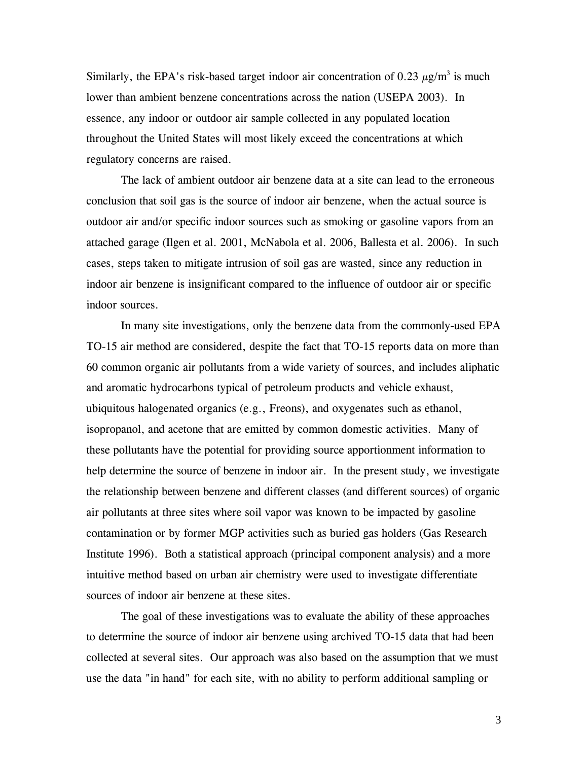Similarly, the EPA's risk-based target indoor air concentration of 0.23  $\mu$ g/m<sup>3</sup> is much lower than ambient benzene concentrations across the nation (USEPA 2003). In essence, any indoor or outdoor air sample collected in any populated location throughout the United States will most likely exceed the concentrations at which regulatory concerns are raised.

The lack of ambient outdoor air benzene data at a site can lead to the erroneous conclusion that soil gas is the source of indoor air benzene, when the actual source is outdoor air and/or specific indoor sources such as smoking or gasoline vapors from an attached garage (Ilgen et al. 2001, McNabola et al. 2006, Ballesta et al. 2006). In such cases, steps taken to mitigate intrusion of soil gas are wasted, since any reduction in indoor air benzene is insignificant compared to the influence of outdoor air or specific indoor sources.

In many site investigations, only the benzene data from the commonly-used EPA TO-15 air method are considered, despite the fact that TO-15 reports data on more than 60 common organic air pollutants from a wide variety of sources, and includes aliphatic and aromatic hydrocarbons typical of petroleum products and vehicle exhaust, ubiquitous halogenated organics (e.g., Freons), and oxygenates such as ethanol, isopropanol, and acetone that are emitted by common domestic activities. Many of these pollutants have the potential for providing source apportionment information to help determine the source of benzene in indoor air. In the present study, we investigate the relationship between benzene and different classes (and different sources) of organic air pollutants at three sites where soil vapor was known to be impacted by gasoline contamination or by former MGP activities such as buried gas holders (Gas Research Institute 1996). Both a statistical approach (principal component analysis) and a more intuitive method based on urban air chemistry were used to investigate differentiate sources of indoor air benzene at these sites.

The goal of these investigations was to evaluate the ability of these approaches to determine the source of indoor air benzene using archived TO-15 data that had been collected at several sites. Our approach was also based on the assumption that we must use the data "in hand" for each site, with no ability to perform additional sampling or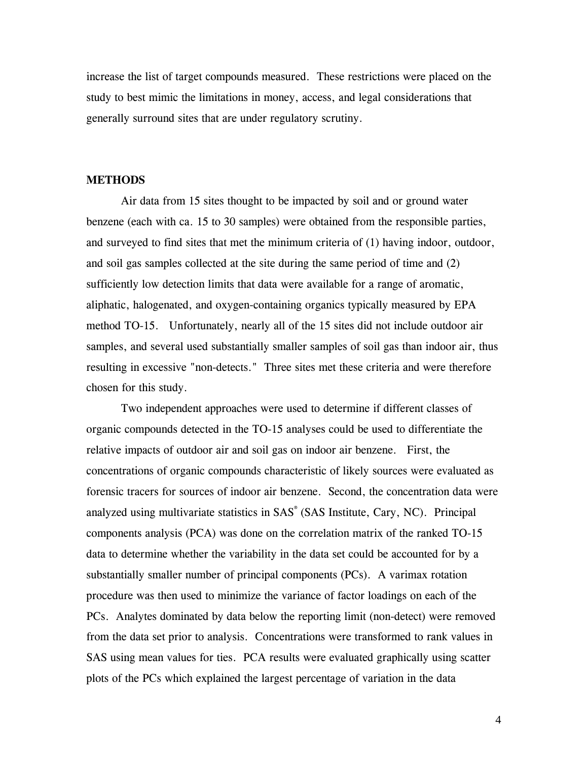increase the list of target compounds measured. These restrictions were placed on the study to best mimic the limitations in money, access, and legal considerations that generally surround sites that are under regulatory scrutiny.

### **METHODS**

Air data from 15 sites thought to be impacted by soil and or ground water benzene (each with ca. 15 to 30 samples) were obtained from the responsible parties, and surveyed to find sites that met the minimum criteria of (1) having indoor, outdoor, and soil gas samples collected at the site during the same period of time and (2) sufficiently low detection limits that data were available for a range of aromatic, aliphatic, halogenated, and oxygen-containing organics typically measured by EPA method TO-15. Unfortunately, nearly all of the 15 sites did not include outdoor air samples, and several used substantially smaller samples of soil gas than indoor air, thus resulting in excessive "non-detects." Three sites met these criteria and were therefore chosen for this study.

Two independent approaches were used to determine if different classes of organic compounds detected in the TO-15 analyses could be used to differentiate the relative impacts of outdoor air and soil gas on indoor air benzene. First, the concentrations of organic compounds characteristic of likely sources were evaluated as forensic tracers for sources of indoor air benzene. Second, the concentration data were analyzed using multivariate statistics in SAS<sup>®</sup> (SAS Institute, Cary, NC). Principal components analysis (PCA) was done on the correlation matrix of the ranked TO-15 data to determine whether the variability in the data set could be accounted for by a substantially smaller number of principal components (PCs). A varimax rotation procedure was then used to minimize the variance of factor loadings on each of the PCs. Analytes dominated by data below the reporting limit (non-detect) were removed from the data set prior to analysis. Concentrations were transformed to rank values in SAS using mean values for ties. PCA results were evaluated graphically using scatter plots of the PCs which explained the largest percentage of variation in the data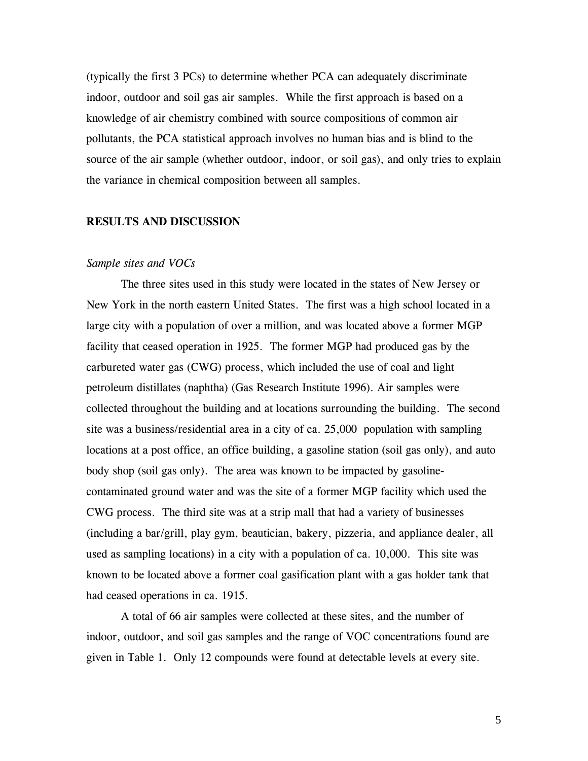(typically the first 3 PCs) to determine whether PCA can adequately discriminate indoor, outdoor and soil gas air samples. While the first approach is based on a knowledge of air chemistry combined with source compositions of common air pollutants, the PCA statistical approach involves no human bias and is blind to the source of the air sample (whether outdoor, indoor, or soil gas), and only tries to explain the variance in chemical composition between all samples.

## **RESULTS AND DISCUSSION**

## *Sample sites and VOCs*

The three sites used in this study were located in the states of New Jersey or New York in the north eastern United States. The first was a high school located in a large city with a population of over a million, and was located above a former MGP facility that ceased operation in 1925. The former MGP had produced gas by the carbureted water gas (CWG) process, which included the use of coal and light petroleum distillates (naphtha) (Gas Research Institute 1996). Air samples were collected throughout the building and at locations surrounding the building. The second site was a business/residential area in a city of ca. 25,000 population with sampling locations at a post office, an office building, a gasoline station (soil gas only), and auto body shop (soil gas only). The area was known to be impacted by gasolinecontaminated ground water and was the site of a former MGP facility which used the CWG process. The third site was at a strip mall that had a variety of businesses (including a bar/grill, play gym, beautician, bakery, pizzeria, and appliance dealer, all used as sampling locations) in a city with a population of ca. 10,000. This site was known to be located above a former coal gasification plant with a gas holder tank that had ceased operations in ca. 1915.

A total of 66 air samples were collected at these sites, and the number of indoor, outdoor, and soil gas samples and the range of VOC concentrations found are given in Table 1. Only 12 compounds were found at detectable levels at every site.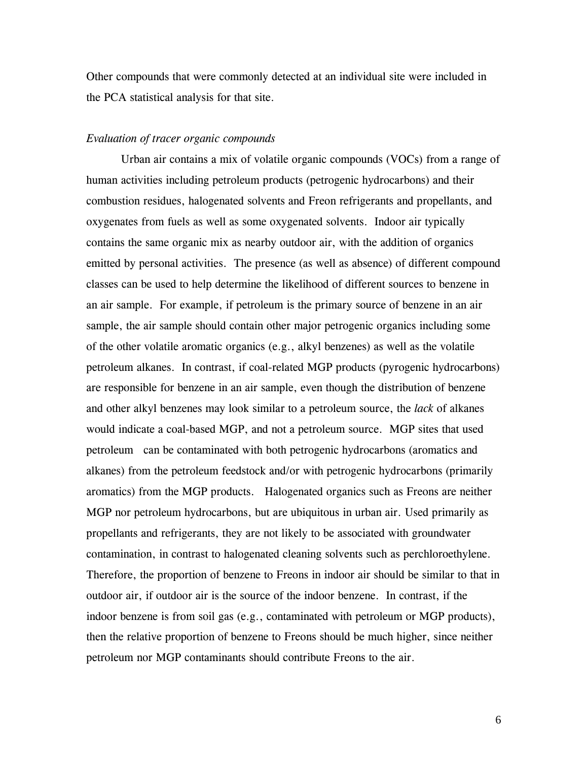Other compounds that were commonly detected at an individual site were included in the PCA statistical analysis for that site.

## *Evaluation of tracer organic compounds*

Urban air contains a mix of volatile organic compounds (VOCs) from a range of human activities including petroleum products (petrogenic hydrocarbons) and their combustion residues, halogenated solvents and Freon refrigerants and propellants, and oxygenates from fuels as well as some oxygenated solvents. Indoor air typically contains the same organic mix as nearby outdoor air, with the addition of organics emitted by personal activities. The presence (as well as absence) of different compound classes can be used to help determine the likelihood of different sources to benzene in an air sample. For example, if petroleum is the primary source of benzene in an air sample, the air sample should contain other major petrogenic organics including some of the other volatile aromatic organics  $(e.g., \text{ alkyl benzenes})$  as well as the volatile petroleum alkanes. In contrast, if coal-related MGP products (pyrogenic hydrocarbons) are responsible for benzene in an air sample, even though the distribution of benzene and other alkyl benzenes may look similar to a petroleum source, the *lack* of alkanes would indicate a coal-based MGP, and not a petroleum source. MGP sites that used petroleum can be contaminated with both petrogenic hydrocarbons (aromatics and alkanes) from the petroleum feedstock and/or with petrogenic hydrocarbons (primarily aromatics) from the MGP products. Halogenated organics such as Freons are neither MGP nor petroleum hydrocarbons, but are ubiquitous in urban air. Used primarily as propellants and refrigerants, they are not likely to be associated with groundwater contamination, in contrast to halogenated cleaning solvents such as perchloroethylene. Therefore, the proportion of benzene to Freons in indoor air should be similar to that in outdoor air, if outdoor air is the source of the indoor benzene. In contrast, if the indoor benzene is from soil gas (e.g., contaminated with petroleum or MGP products), then the relative proportion of benzene to Freons should be much higher, since neither petroleum nor MGP contaminants should contribute Freons to the air.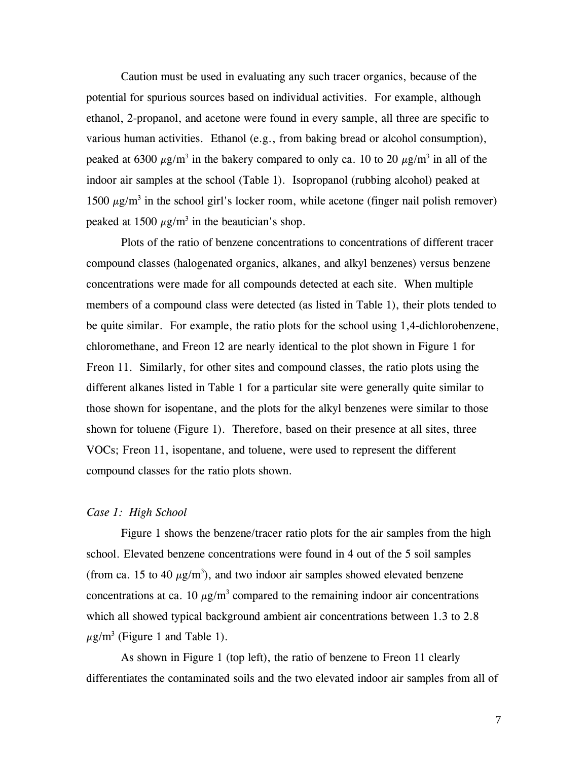Caution must be used in evaluating any such tracer organics, because of the potential for spurious sources based on individual activities. For example, although ethanol, 2-propanol, and acetone were found in every sample, all three are specific to various human activities. Ethanol (e.g., from baking bread or alcohol consumption), peaked at 6300  $\mu$ g/m<sup>3</sup> in the bakery compared to only ca. 10 to 20  $\mu$ g/m<sup>3</sup> in all of the indoor air samples at the school (Table 1). Isopropanol (rubbing alcohol) peaked at 1500  $\mu$ g/m<sup>3</sup> in the school girl's locker room, while acetone (finger nail polish remover) peaked at 1500  $\mu$ g/m<sup>3</sup> in the beautician's shop.

Plots of the ratio of benzene concentrations to concentrations of different tracer compound classes (halogenated organics, alkanes, and alkyl benzenes) versus benzene concentrations were made for all compounds detected at each site. When multiple members of a compound class were detected (as listed in Table 1), their plots tended to be quite similar. For example, the ratio plots for the school using 1,4-dichlorobenzene, chloromethane, and Freon 12 are nearly identical to the plot shown in Figure 1 for Freon 11. Similarly, for other sites and compound classes, the ratio plots using the different alkanes listed in Table 1 for a particular site were generally quite similar to those shown for isopentane, and the plots for the alkyl benzenes were similar to those shown for toluene (Figure 1). Therefore, based on their presence at all sites, three VOCs; Freon 11, isopentane, and toluene, were used to represent the different compound classes for the ratio plots shown.

## *Case 1: High School*

Figure 1 shows the benzene/tracer ratio plots for the air samples from the high school. Elevated benzene concentrations were found in 4 out of the 5 soil samples (from ca. 15 to 40  $\mu$ g/m<sup>3</sup>), and two indoor air samples showed elevated benzene concentrations at ca. 10  $\mu$ g/m<sup>3</sup> compared to the remaining indoor air concentrations which all showed typical background ambient air concentrations between 1.3 to 2.8  $\mu$ g/m<sup>3</sup> (Figure 1 and Table 1).

As shown in Figure 1 (top left), the ratio of benzene to Freon 11 clearly differentiates the contaminated soils and the two elevated indoor air samples from all of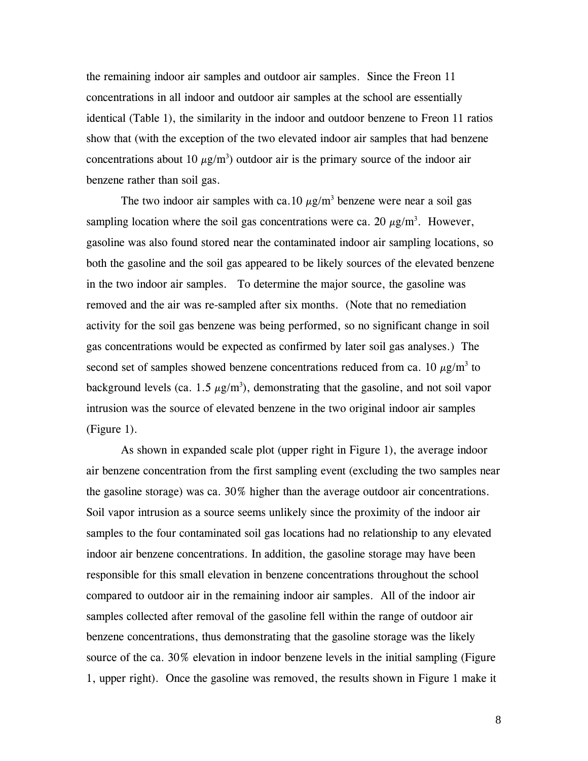the remaining indoor air samples and outdoor air samples. Since the Freon 11 concentrations in all indoor and outdoor air samples at the school are essentially identical (Table 1), the similarity in the indoor and outdoor benzene to Freon 11 ratios show that (with the exception of the two elevated indoor air samples that had benzene concentrations about 10  $\mu$ g/m<sup>3</sup>) outdoor air is the primary source of the indoor air benzene rather than soil gas.

The two indoor air samples with ca. 10  $\mu$ g/m<sup>3</sup> benzene were near a soil gas sampling location where the soil gas concentrations were ca. 20  $\mu$ g/m<sup>3</sup>. However, gasoline was also found stored near the contaminated indoor air sampling locations, so both the gasoline and the soil gas appeared to be likely sources of the elevated benzene in the two indoor air samples. To determine the major source, the gasoline was removed and the air was re-sampled after six months. (Note that no remediation activity for the soil gas benzene was being performed, so no significant change in soil gas concentrations would be expected as confirmed by later soil gas analyses.) The second set of samples showed benzene concentrations reduced from ca. 10  $\mu$ g/m<sup>3</sup> to background levels (ca. 1.5  $\mu$ g/m<sup>3</sup>), demonstrating that the gasoline, and not soil vapor intrusion was the source of elevated benzene in the two original indoor air samples (Figure 1).

As shown in expanded scale plot (upper right in Figure 1), the average indoor air benzene concentration from the first sampling event (excluding the two samples near the gasoline storage) was ca. 30% higher than the average outdoor air concentrations. Soil vapor intrusion as a source seems unlikely since the proximity of the indoor air samples to the four contaminated soil gas locations had no relationship to any elevated indoor air benzene concentrations. In addition, the gasoline storage may have been responsible for this small elevation in benzene concentrations throughout the school compared to outdoor air in the remaining indoor air samples. All of the indoor air samples collected after removal of the gasoline fell within the range of outdoor air benzene concentrations, thus demonstrating that the gasoline storage was the likely source of the ca. 30% elevation in indoor benzene levels in the initial sampling (Figure 1, upper right). Once the gasoline was removed, the results shown in Figure 1 make it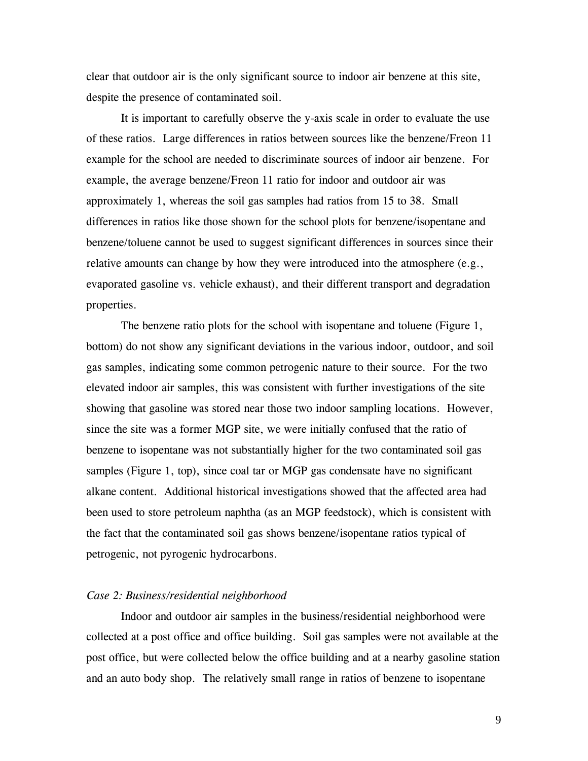clear that outdoor air is the only significant source to indoor air benzene at this site, despite the presence of contaminated soil.

It is important to carefully observe the y-axis scale in order to evaluate the use of these ratios. Large differences in ratios between sources like the benzene/Freon 11 example for the school are needed to discriminate sources of indoor air benzene. For example, the average benzene/Freon 11 ratio for indoor and outdoor air was approximately 1, whereas the soil gas samples had ratios from 15 to 38. Small differences in ratios like those shown for the school plots for benzene/isopentane and benzene/toluene cannot be used to suggest significant differences in sources since their relative amounts can change by how they were introduced into the atmosphere (e.g., evaporated gasoline vs. vehicle exhaust), and their different transport and degradation properties.

The benzene ratio plots for the school with isopentane and toluene (Figure 1, bottom) do not show any significant deviations in the various indoor, outdoor, and soil gas samples, indicating some common petrogenic nature to their source. For the two elevated indoor air samples, this was consistent with further investigations of the site showing that gasoline was stored near those two indoor sampling locations. However, since the site was a former MGP site, we were initially confused that the ratio of benzene to isopentane was not substantially higher for the two contaminated soil gas samples (Figure 1, top), since coal tar or MGP gas condensate have no significant alkane content. Additional historical investigations showed that the affected area had been used to store petroleum naphtha (as an MGP feedstock), which is consistent with the fact that the contaminated soil gas shows benzene/isopentane ratios typical of petrogenic, not pyrogenic hydrocarbons.

## *Case 2: Business/residential neighborhood*

Indoor and outdoor air samples in the business/residential neighborhood were collected at a post office and office building. Soil gas samples were not available at the post office, but were collected below the office building and at a nearby gasoline station and an auto body shop. The relatively small range in ratios of benzene to isopentane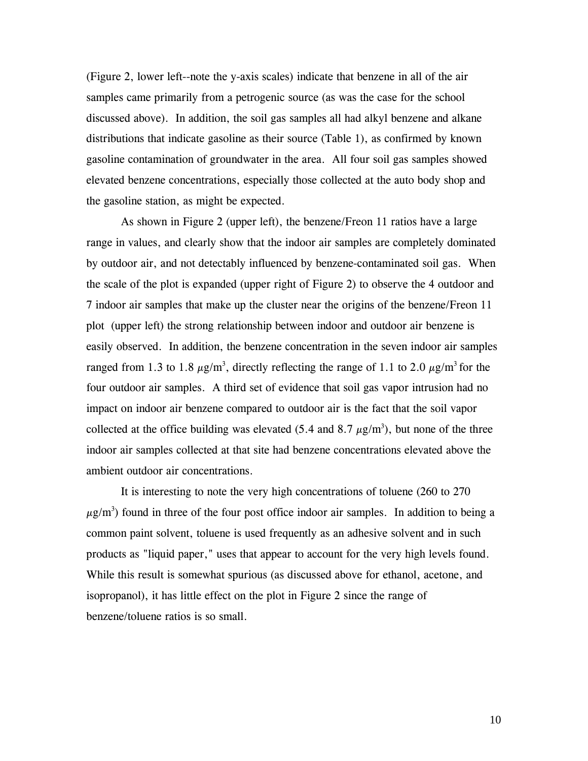(Figure 2, lower left--note the y-axis scales) indicate that benzene in all of the air samples came primarily from a petrogenic source (as was the case for the school discussed above). In addition, the soil gas samples all had alkyl benzene and alkane distributions that indicate gasoline as their source (Table 1), as confirmed by known gasoline contamination of groundwater in the area. All four soil gas samples showed elevated benzene concentrations, especially those collected at the auto body shop and the gasoline station, as might be expected.

As shown in Figure 2 (upper left), the benzene/Freon 11 ratios have a large range in values, and clearly show that the indoor air samples are completely dominated by outdoor air, and not detectably influenced by benzene-contaminated soil gas. When the scale of the plot is expanded (upper right of Figure 2) to observe the 4 outdoor and 7 indoor air samples that make up the cluster near the origins of the benzene/Freon 11 plot (upper left) the strong relationship between indoor and outdoor air benzene is easily observed. In addition, the benzene concentration in the seven indoor air samples ranged from 1.3 to 1.8  $\mu$ g/m<sup>3</sup>, directly reflecting the range of 1.1 to 2.0  $\mu$ g/m<sup>3</sup> for the four outdoor air samples. A third set of evidence that soil gas vapor intrusion had no impact on indoor air benzene compared to outdoor air is the fact that the soil vapor collected at the office building was elevated (5.4 and 8.7  $\mu$ g/m<sup>3</sup>), but none of the three indoor air samples collected at that site had benzene concentrations elevated above the ambient outdoor air concentrations.

It is interesting to note the very high concentrations of toluene (260 to 270  $\mu$ g/m<sup>3</sup>) found in three of the four post office indoor air samples. In addition to being a common paint solvent, toluene is used frequently as an adhesive solvent and in such products as "liquid paper," uses that appear to account for the very high levels found. While this result is somewhat spurious (as discussed above for ethanol, acetone, and isopropanol), it has little effect on the plot in Figure 2 since the range of benzene/toluene ratios is so small.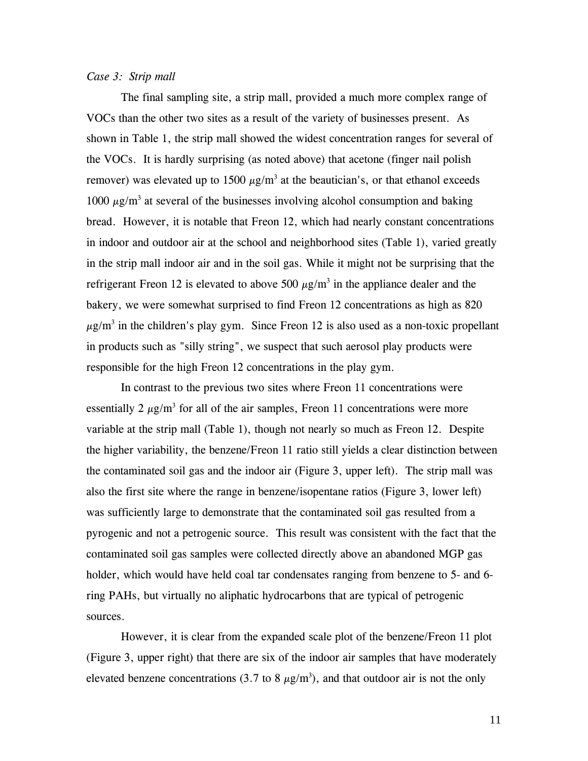## *Case 3: Strip mall*

The final sampling site, a strip mall, provided a much more complex range of VOCs than the other two sites as a result of the variety of businesses present. As shown in Table 1, the strip mall showed the widest concentration ranges for several of the VOCs. It is hardly surprising (as noted above) that acetone (finger nail polish remover) was elevated up to 1500  $\mu$ g/m<sup>3</sup> at the beautician's, or that ethanol exceeds 1000  $\mu$ g/m<sup>3</sup> at several of the businesses involving alcohol consumption and baking bread. However, it is notable that Freon 12, which had nearly constant concentrations in indoor and outdoor air at the school and neighborhood sites (Table 1), varied greatly in the strip mall indoor air and in the soil gas. While it might not be surprising that the refrigerant Freon 12 is elevated to above 500  $\mu$ g/m<sup>3</sup> in the appliance dealer and the bakery, we were somewhat surprised to find Freon 12 concentrations as high as 820  $\mu$ g/m<sup>3</sup> in the children's play gym. Since Freon 12 is also used as a non-toxic propellant in products such as "silly string", we suspect that such aerosol play products were responsible for the high Freon 12 concentrations in the play gym.

In contrast to the previous two sites where Freon 11 concentrations were essentially 2  $\mu$ g/m<sup>3</sup> for all of the air samples, Freon 11 concentrations were more variable at the strip mall (Table 1), though not nearly so much as Freon 12. Despite the higher variability, the benzene/Freon 11 ratio still yields a clear distinction between the contaminated soil gas and the indoor air (Figure 3, upper left). The strip mall was also the first site where the range in benzene/isopentane ratios (Figure 3, lower left) was sufficiently large to demonstrate that the contaminated soil gas resulted from a pyrogenic and not a petrogenic source. This result was consistent with the fact that the contaminated soil gas samples were collected directly above an abandoned MGP gas holder, which would have held coal tar condensates ranging from benzene to 5- and 6 ring PAHs, but virtually no aliphatic hydrocarbons that are typical of petrogenic sources.

However, it is clear from the expanded scale plot of the benzene/Freon 11 plot (Figure 3, upper right) that there are six of the indoor air samples that have moderately elevated benzene concentrations (3.7 to 8  $\mu$ g/m<sup>3</sup>), and that outdoor air is not the only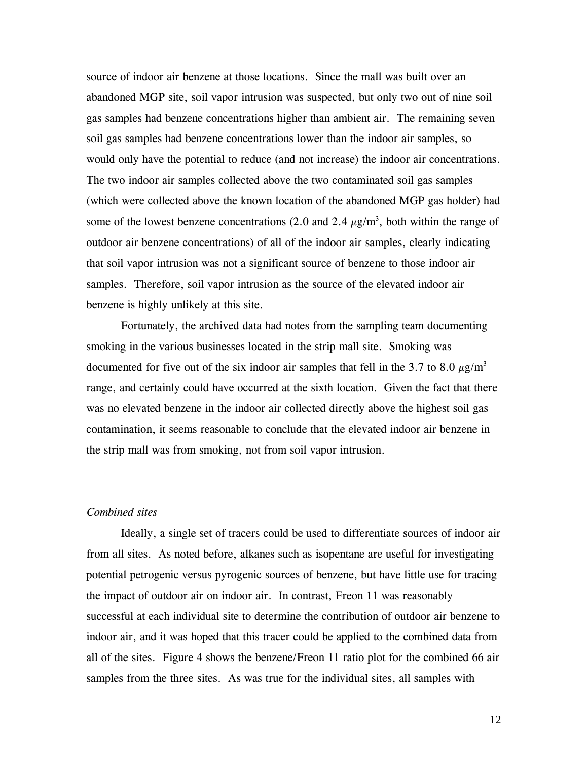source of indoor air benzene at those locations. Since the mall was built over an abandoned MGP site, soil vapor intrusion was suspected, but only two out of nine soil gas samples had benzene concentrations higher than ambient air. The remaining seven soil gas samples had benzene concentrations lower than the indoor air samples, so would only have the potential to reduce (and not increase) the indoor air concentrations. The two indoor air samples collected above the two contaminated soil gas samples (which were collected above the known location of the abandoned MGP gas holder) had some of the lowest benzene concentrations (2.0 and 2.4  $\mu$ g/m<sup>3</sup>, both within the range of outdoor air benzene concentrations) of all of the indoor air samples, clearly indicating that soil vapor intrusion was not a significant source of benzene to those indoor air samples. Therefore, soil vapor intrusion as the source of the elevated indoor air benzene is highly unlikely at this site.

Fortunately, the archived data had notes from the sampling team documenting smoking in the various businesses located in the strip mall site. Smoking was documented for five out of the six indoor air samples that fell in the 3.7 to 8.0  $\mu$ g/m<sup>3</sup> range, and certainly could have occurred at the sixth location. Given the fact that there was no elevated benzene in the indoor air collected directly above the highest soil gas contamination, it seems reasonable to conclude that the elevated indoor air benzene in the strip mall was from smoking, not from soil vapor intrusion.

### *Combined sites*

Ideally, a single set of tracers could be used to differentiate sources of indoor air from all sites. As noted before, alkanes such as isopentane are useful for investigating potential petrogenic versus pyrogenic sources of benzene, but have little use for tracing the impact of outdoor air on indoor air. In contrast, Freon 11 was reasonably successful at each individual site to determine the contribution of outdoor air benzene to indoor air, and it was hoped that this tracer could be applied to the combined data from all of the sites. Figure 4 shows the benzene/Freon 11 ratio plot for the combined 66 air samples from the three sites. As was true for the individual sites, all samples with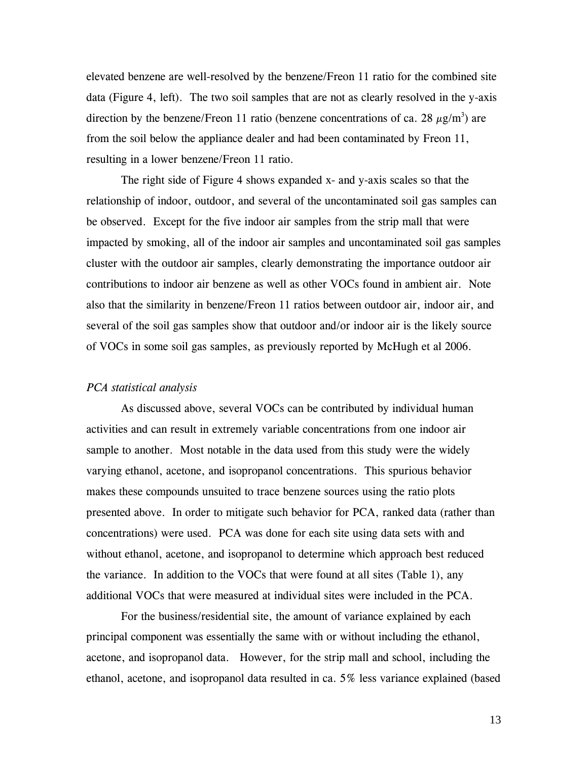elevated benzene are well-resolved by the benzene/Freon 11 ratio for the combined site data (Figure 4, left). The two soil samples that are not as clearly resolved in the y-axis direction by the benzene/Freon 11 ratio (benzene concentrations of ca. 28  $\mu$ g/m<sup>3</sup>) are from the soil below the appliance dealer and had been contaminated by Freon 11, resulting in a lower benzene/Freon 11 ratio.

The right side of Figure 4 shows expanded x- and y-axis scales so that the relationship of indoor, outdoor, and several of the uncontaminated soil gas samples can be observed. Except for the five indoor air samples from the strip mall that were impacted by smoking, all of the indoor air samples and uncontaminated soil gas samples cluster with the outdoor air samples, clearly demonstrating the importance outdoor air contributions to indoor air benzene as well as other VOCs found in ambient air. Note also that the similarity in benzene/Freon 11 ratios between outdoor air, indoor air, and several of the soil gas samples show that outdoor and/or indoor air is the likely source of VOCs in some soil gas samples, as previously reported by McHugh et al 2006.

#### *PCA statistical analysis*

As discussed above, several VOCs can be contributed by individual human activities and can result in extremely variable concentrations from one indoor air sample to another. Most notable in the data used from this study were the widely varying ethanol, acetone, and isopropanol concentrations. This spurious behavior makes these compounds unsuited to trace benzene sources using the ratio plots presented above. In order to mitigate such behavior for PCA, ranked data (rather than concentrations) were used. PCA was done for each site using data sets with and without ethanol, acetone, and isopropanol to determine which approach best reduced the variance. In addition to the VOCs that were found at all sites (Table 1), any additional VOCs that were measured at individual sites were included in the PCA.

For the business/residential site, the amount of variance explained by each principal component was essentially the same with or without including the ethanol, acetone, and isopropanol data. However, for the strip mall and school, including the ethanol, acetone, and isopropanol data resulted in ca. 5% less variance explained (based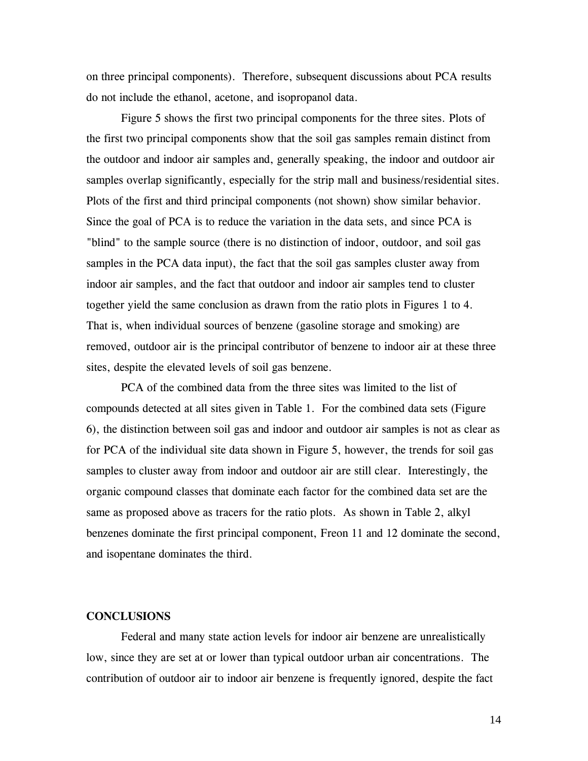on three principal components). Therefore, subsequent discussions about PCA results do not include the ethanol, acetone, and isopropanol data.

Figure 5 shows the first two principal components for the three sites. Plots of the first two principal components show that the soil gas samples remain distinct from the outdoor and indoor air samples and, generally speaking, the indoor and outdoor air samples overlap significantly, especially for the strip mall and business/residential sites. Plots of the first and third principal components (not shown) show similar behavior. Since the goal of PCA is to reduce the variation in the data sets, and since PCA is "blind" to the sample source (there is no distinction of indoor, outdoor, and soil gas samples in the PCA data input), the fact that the soil gas samples cluster away from indoor air samples, and the fact that outdoor and indoor air samples tend to cluster together yield the same conclusion as drawn from the ratio plots in Figures 1 to 4. That is, when individual sources of benzene (gasoline storage and smoking) are removed, outdoor air is the principal contributor of benzene to indoor air at these three sites, despite the elevated levels of soil gas benzene.

PCA of the combined data from the three sites was limited to the list of compounds detected at all sites given in Table 1. For the combined data sets (Figure 6), the distinction between soil gas and indoor and outdoor air samples is not as clear as for PCA of the individual site data shown in Figure 5, however, the trends for soil gas samples to cluster away from indoor and outdoor air are still clear. Interestingly, the organic compound classes that dominate each factor for the combined data set are the same as proposed above as tracers for the ratio plots. As shown in Table 2, alkyl benzenes dominate the first principal component, Freon 11 and 12 dominate the second, and isopentane dominates the third.

## **CONCLUSIONS**

Federal and many state action levels for indoor air benzene are unrealistically low, since they are set at or lower than typical outdoor urban air concentrations. The contribution of outdoor air to indoor air benzene is frequently ignored, despite the fact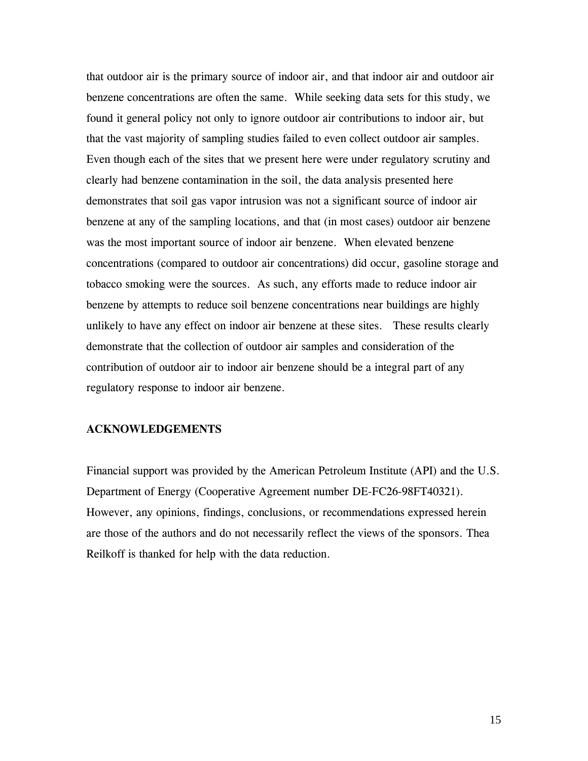that outdoor air is the primary source of indoor air, and that indoor air and outdoor air benzene concentrations are often the same. While seeking data sets for this study, we found it general policy not only to ignore outdoor air contributions to indoor air, but that the vast majority of sampling studies failed to even collect outdoor air samples. Even though each of the sites that we present here were under regulatory scrutiny and clearly had benzene contamination in the soil, the data analysis presented here demonstrates that soil gas vapor intrusion was not a significant source of indoor air benzene at any of the sampling locations, and that (in most cases) outdoor air benzene was the most important source of indoor air benzene. When elevated benzene concentrations (compared to outdoor air concentrations) did occur, gasoline storage and tobacco smoking were the sources. As such, any efforts made to reduce indoor air benzene by attempts to reduce soil benzene concentrations near buildings are highly unlikely to have any effect on indoor air benzene at these sites. These results clearly demonstrate that the collection of outdoor air samples and consideration of the contribution of outdoor air to indoor air benzene should be a integral part of any regulatory response to indoor air benzene.

## **ACKNOWLEDGEMENTS**

Financial support was provided by the American Petroleum Institute (API) and the U.S. Department of Energy (Cooperative Agreement number DE-FC26-98FT40321). However, any opinions, findings, conclusions, or recommendations expressed herein are those of the authors and do not necessarily reflect the views of the sponsors. Thea Reilkoff is thanked for help with the data reduction.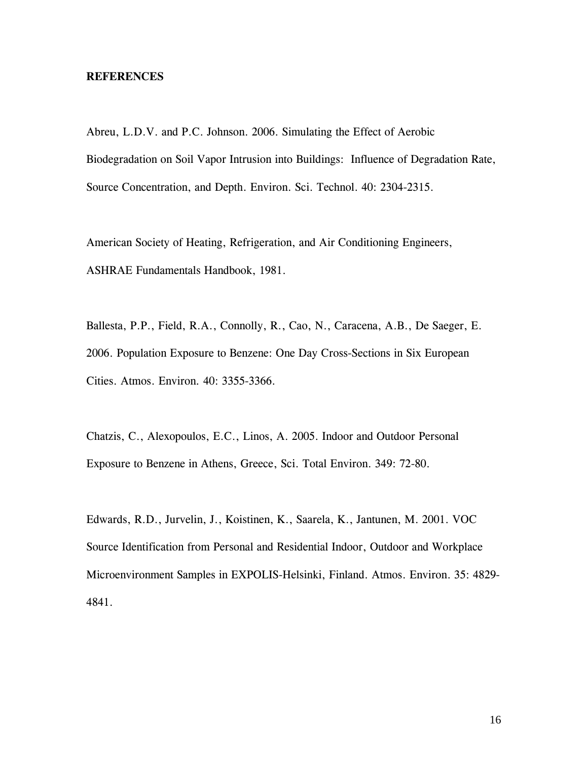### **REFERENCES**

Abreu, L.D.V. and P.C. Johnson. 2006. Simulating the Effect of Aerobic Biodegradation on Soil Vapor Intrusion into Buildings: Influence of Degradation Rate, Source Concentration, and Depth. Environ. Sci. Technol. 40: 2304-2315.

American Society of Heating, Refrigeration, and Air Conditioning Engineers, ASHRAE Fundamentals Handbook, 1981.

Ballesta, P.P., Field, R.A., Connolly, R., Cao, N., Caracena, A.B., De Saeger, E. 2006. Population Exposure to Benzene: One Day Cross-Sections in Six European Cities. Atmos. Environ*.* 40: 3355-3366.

Chatzis, C., Alexopoulos, E.C., Linos, A. 2005. Indoor and Outdoor Personal Exposure to Benzene in Athens, Greece, Sci. Total Environ. 349: 72-80.

Edwards, R.D., Jurvelin, J., Koistinen, K., Saarela, K., Jantunen, M. 2001. VOC Source Identification from Personal and Residential Indoor, Outdoor and Workplace Microenvironment Samples in EXPOLIS-Helsinki, Finland. Atmos. Environ. 35: 4829- 4841.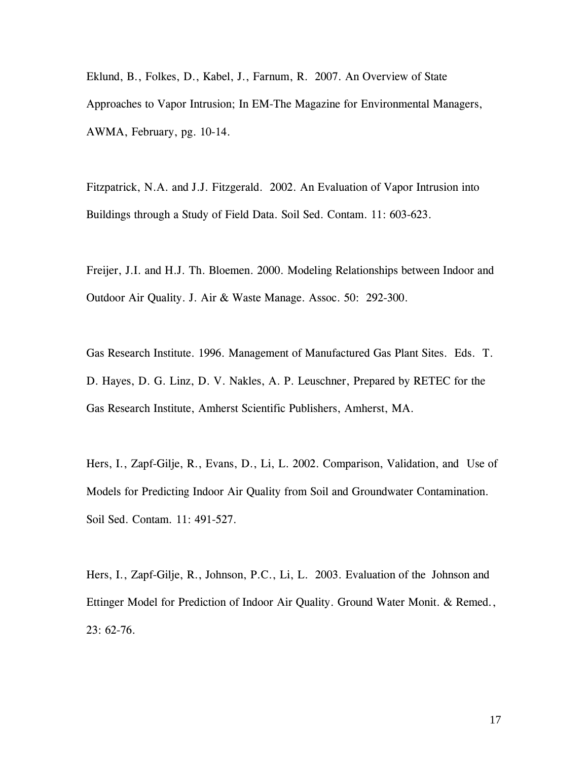Eklund, B., Folkes, D., Kabel, J., Farnum, R. 2007. An Overview of State Approaches to Vapor Intrusion; In EM-The Magazine for Environmental Managers, AWMA, February, pg. 10-14.

Fitzpatrick, N.A. and J.J. Fitzgerald. 2002. An Evaluation of Vapor Intrusion into Buildings through a Study of Field Data. Soil Sed. Contam. 11: 603-623.

Freijer, J.I. and H.J. Th. Bloemen. 2000. Modeling Relationships between Indoor and Outdoor Air Quality. J. Air & Waste Manage. Assoc. 50: 292-300.

Gas Research Institute. 1996. Management of Manufactured Gas Plant Sites. Eds. T. D. Hayes, D. G. Linz, D. V. Nakles, A. P. Leuschner, Prepared by RETEC for the Gas Research Institute, Amherst Scientific Publishers, Amherst, MA.

Hers, I., Zapf-Gilje, R., Evans, D., Li, L. 2002. Comparison, Validation, and Use of Models for Predicting Indoor Air Quality from Soil and Groundwater Contamination. Soil Sed. Contam*.* 11: 491-527.

Hers, I., Zapf-Gilje, R., Johnson, P.C., Li, L. 2003. Evaluation of the Johnson and Ettinger Model for Prediction of Indoor Air Quality. Ground Water Monit. & Remed*.*, 23: 62-76.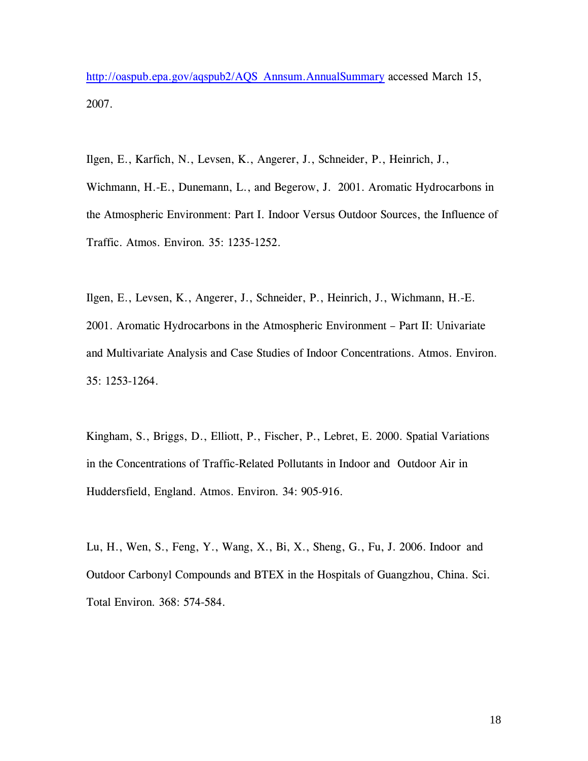[http://oaspub.epa.gov/aqspub2/AQS\\_Annsum.AnnualSummary](http://oaspub.epa.gov/aqspub2/AQS_Annsum.AnnualSummary) accessed March 15, 2007.

Ilgen, E., Karfich, N., Levsen, K., Angerer, J., Schneider, P., Heinrich, J.,

Wichmann, H.-E., Dunemann, L., and Begerow, J. 2001. Aromatic Hydrocarbons in the Atmospheric Environment: Part I. Indoor Versus Outdoor Sources, the Influence of Traffic. Atmos. Environ*.* 35: 1235-1252.

Ilgen, E., Levsen, K., Angerer, J., Schneider, P., Heinrich, J., Wichmann, H.-E. 2001. Aromatic Hydrocarbons in the Atmospheric Environment – Part II: Univariate and Multivariate Analysis and Case Studies of Indoor Concentrations. Atmos. Environ. 35: 1253-1264.

Kingham, S., Briggs, D., Elliott, P., Fischer, P., Lebret, E. 2000. Spatial Variations in the Concentrations of Traffic-Related Pollutants in Indoor and Outdoor Air in Huddersfield, England. Atmos. Environ*.* 34: 905-916.

Lu, H., Wen, S., Feng, Y., Wang, X., Bi, X., Sheng, G., Fu, J. 2006. Indoor and Outdoor Carbonyl Compounds and BTEX in the Hospitals of Guangzhou, China. Sci. Total Environ*.* 368: 574-584.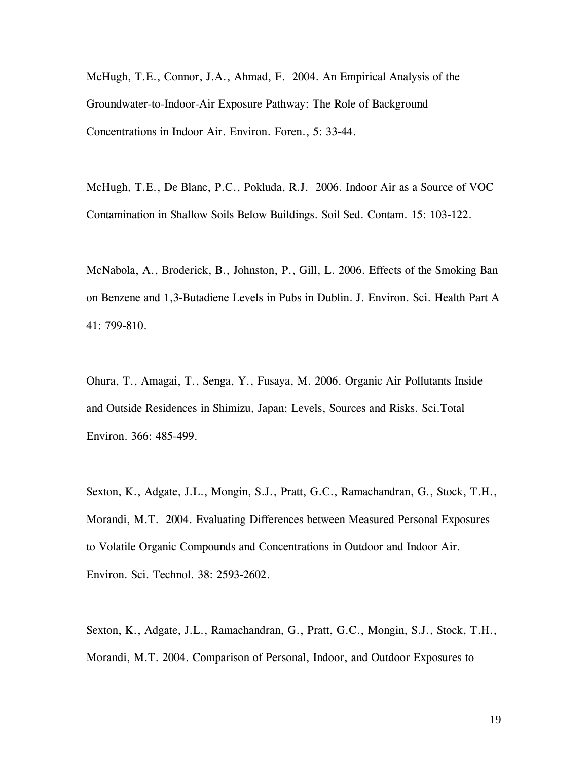McHugh, T.E., Connor, J.A., Ahmad, F. 2004. An Empirical Analysis of the Groundwater-to-Indoor-Air Exposure Pathway: The Role of Background Concentrations in Indoor Air. Environ. Foren., 5: 33-44.

McHugh, T.E., De Blanc, P.C., Pokluda, R.J. 2006. Indoor Air as a Source of VOC Contamination in Shallow Soils Below Buildings. Soil Sed. Contam. 15: 103-122.

McNabola, A., Broderick, B., Johnston, P., Gill, L. 2006. Effects of the Smoking Ban on Benzene and 1,3-Butadiene Levels in Pubs in Dublin. J. Environ. Sci. Health Part A 41: 799-810.

Ohura, T., Amagai, T., Senga, Y., Fusaya, M. 2006. Organic Air Pollutants Inside and Outside Residences in Shimizu, Japan: Levels, Sources and Risks. Sci.Total Environ. 366: 485-499.

Sexton, K., Adgate, J.L., Mongin, S.J., Pratt, G.C., Ramachandran, G., Stock, T.H., Morandi, M.T. 2004. Evaluating Differences between Measured Personal Exposures to Volatile Organic Compounds and Concentrations in Outdoor and Indoor Air. Environ. Sci. Technol*.* 38: 2593-2602.

Sexton, K., Adgate, J.L., Ramachandran, G., Pratt, G.C., Mongin, S.J., Stock, T.H., Morandi, M.T. 2004. Comparison of Personal, Indoor, and Outdoor Exposures to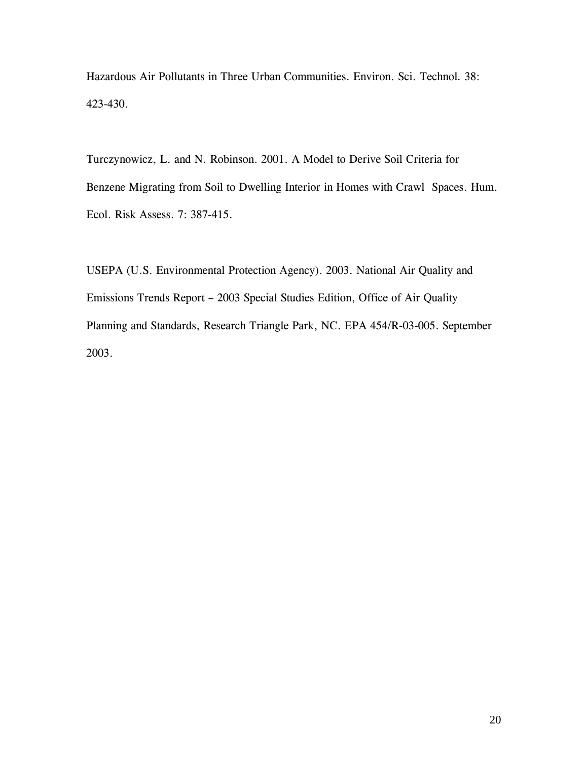Hazardous Air Pollutants in Three Urban Communities. Environ. Sci. Technol*.* 38: 423-430.

Turczynowicz, L. and N. Robinson. 2001. A Model to Derive Soil Criteria for Benzene Migrating from Soil to Dwelling Interior in Homes with Crawl Spaces. Hum. Ecol. Risk Assess. 7: 387-415.

USEPA (U.S. Environmental Protection Agency). 2003. National Air Quality and Emissions Trends Report – 2003 Special Studies Edition, Office of Air Quality Planning and Standards, Research Triangle Park, NC. EPA 454/R-03-005. September 2003.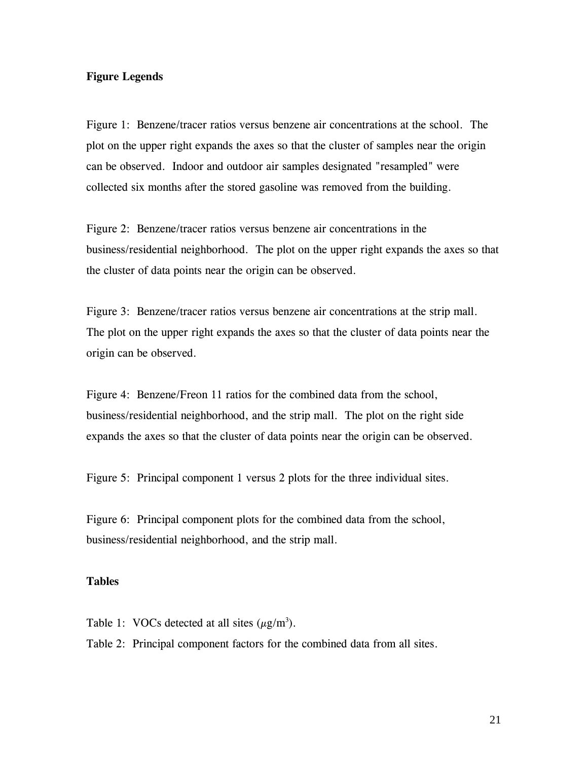## **Figure Legends**

Figure 1: Benzene/tracer ratios versus benzene air concentrations at the school. The plot on the upper right expands the axes so that the cluster of samples near the origin can be observed. Indoor and outdoor air samples designated "resampled" were collected six months after the stored gasoline was removed from the building.

Figure 2: Benzene/tracer ratios versus benzene air concentrations in the business/residential neighborhood. The plot on the upper right expands the axes so that the cluster of data points near the origin can be observed.

Figure 3: Benzene/tracer ratios versus benzene air concentrations at the strip mall. The plot on the upper right expands the axes so that the cluster of data points near the origin can be observed.

Figure 4: Benzene/Freon 11 ratios for the combined data from the school, business/residential neighborhood, and the strip mall. The plot on the right side expands the axes so that the cluster of data points near the origin can be observed.

Figure 5: Principal component 1 versus 2 plots for the three individual sites.

Figure 6: Principal component plots for the combined data from the school, business/residential neighborhood, and the strip mall.

## **Tables**

Table 1: VOCs detected at all sites  $(\mu g/m^3)$ .

Table 2: Principal component factors for the combined data from all sites.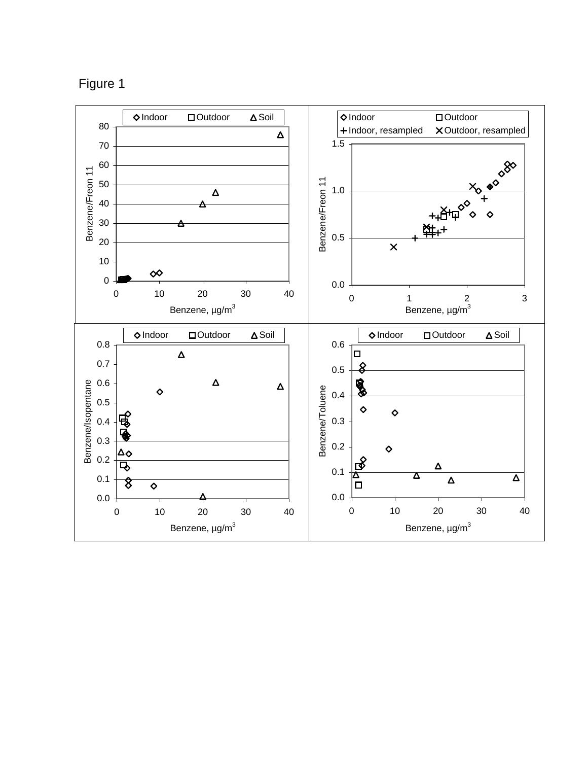

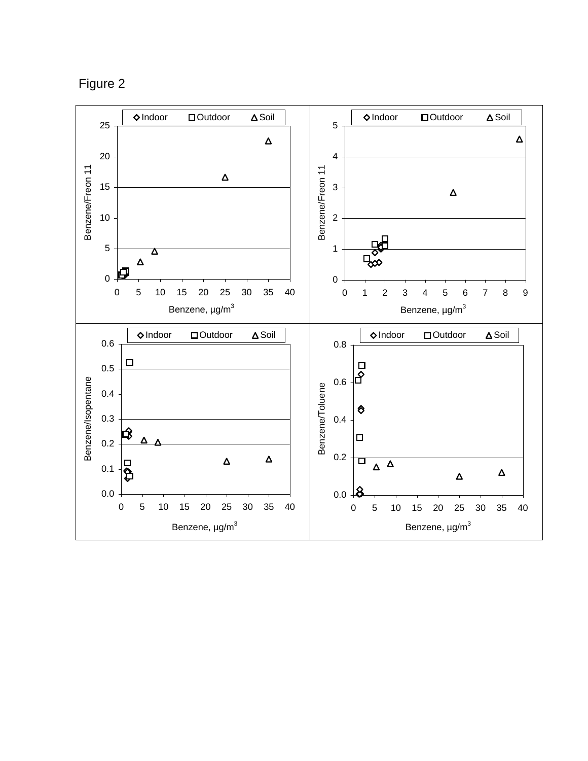Figure 2

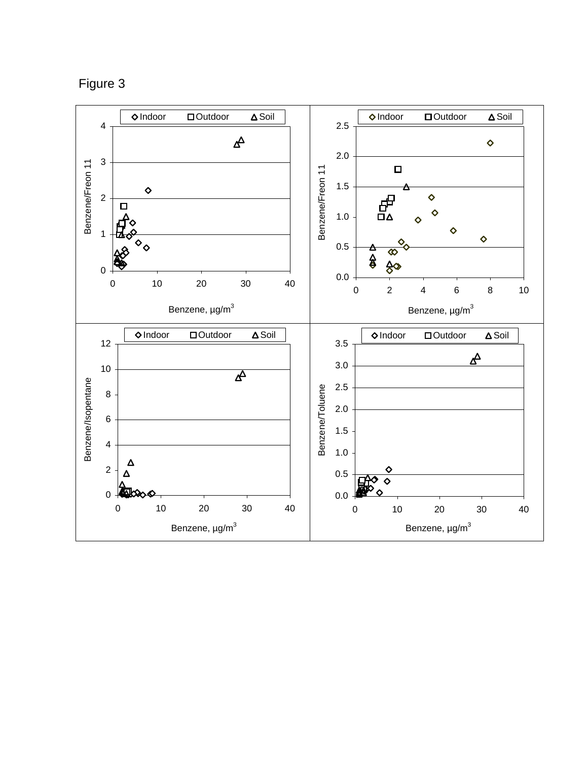Figure 3

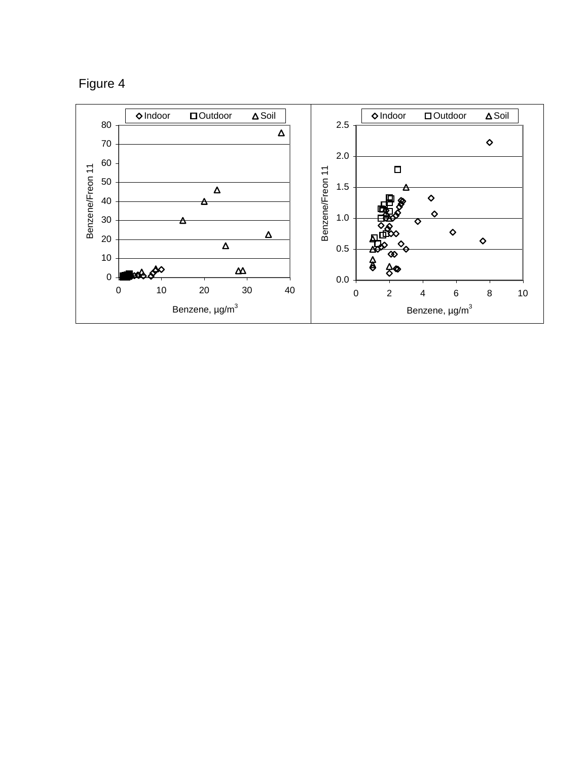

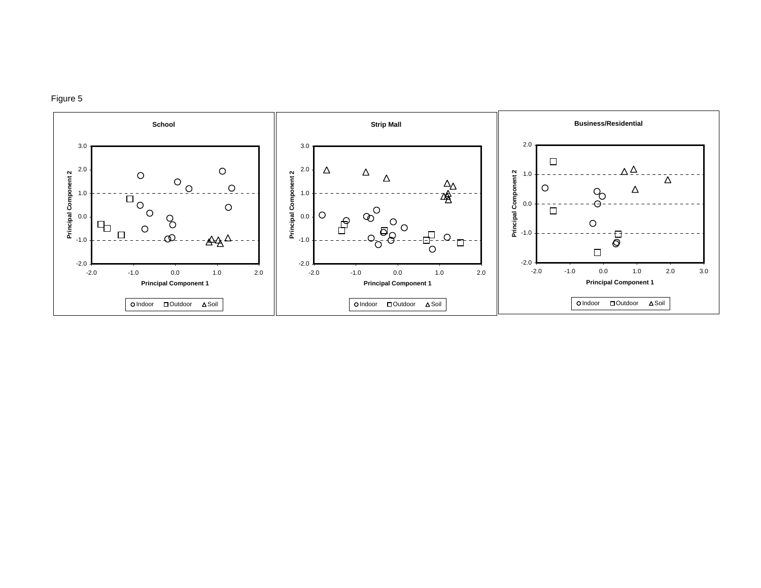

Figure 5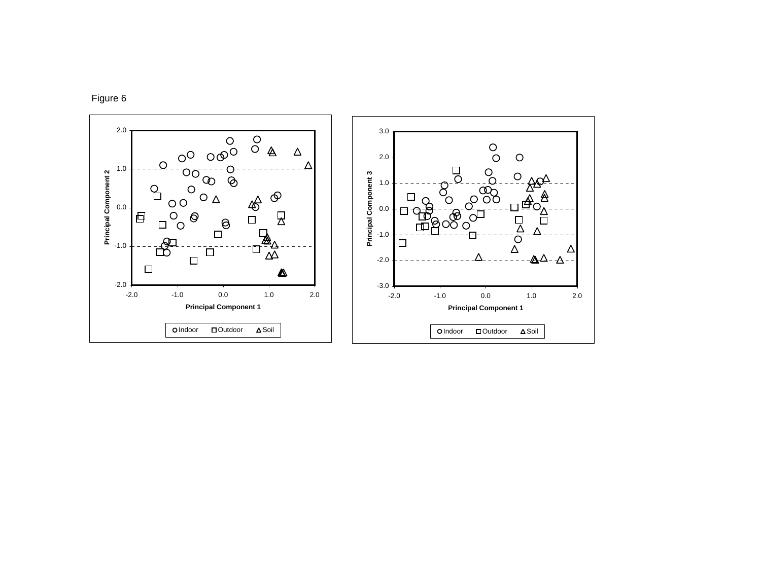

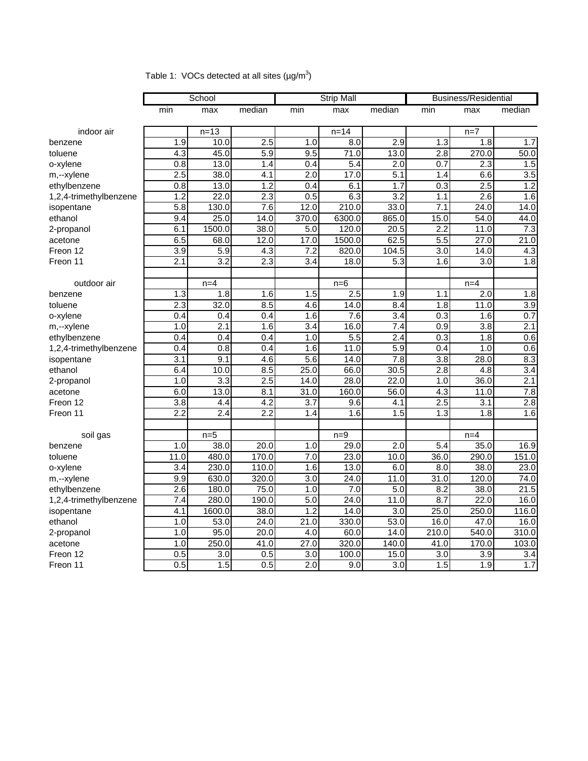|                        |                  | School           |                  | <b>Strip Mall</b> |          | <b>Business/Residential</b> |                  |                  |                  |
|------------------------|------------------|------------------|------------------|-------------------|----------|-----------------------------|------------------|------------------|------------------|
|                        | min              | max              | median           | min               | max      | median                      | min              | max              | median           |
|                        |                  |                  |                  |                   |          |                             |                  |                  |                  |
| indoor air             |                  | $n = 13$         |                  |                   | $n = 14$ |                             |                  | $n=7$            |                  |
| benzene                | 1.9              | 10.0             | 2.5              | 1.0               | 8.0      | 2.9                         | 1.3              | 1.8              | 1.7              |
| toluene                | 4.3              | 45.0             | 5.9              | 9.5               | 71.0     | 13.0                        | 2.8              | 270.0            | 50.0             |
| o-xylene               | 0.8              | 13.0             | 1.4              | 0.4               | 5.4      | 2.0                         | 0.7              | 2.3              | 1.5              |
| m,--xylene             | 2.5              | 38.0             | $\overline{4.1}$ | $\overline{2.0}$  | 17.0     | $\overline{5.1}$            | 1.4              | 6.6              | $\overline{3.5}$ |
| ethylbenzene           | 0.8              | 13.0             | 1.2              | 0.4               | 6.1      | 1.7                         | 0.3              | 2.5              | 1.2              |
| 1,2,4-trimethylbenzene | 1.2              | 22.0             | 2.3              | 0.5               | 6.3      | 3.2                         | 1.1              | 2.6              | 1.6              |
| isopentane             | 5.8              | 130.0            | 7.6              | 12.0              | 210.0    | 33.0                        | 7.1              | 24.0             | 14.0             |
| ethanol                | 9.4              | 25.0             | 14.0             | 370.0             | 6300.0   | 865.0                       | 15.0             | 54.0             | 44.0             |
| 2-propanol             | 6.1              | 1500.0           | 38.0             | 5.0               | 120.0    | 20.5                        | 2.2              | 11.0             | 7.3              |
| acetone                | 6.5              | 68.0             | 12.0             | 17.0              | 1500.0   | 62.5                        | 5.5              | 27.0             | 21.0             |
| Freon 12               | 3.9              | 5.9              | 4.3              | 7.2               | 820.0    | 104.5                       | 3.0              | 14.0             | 4.3              |
| Freon 11               | 2.1              | 3.2              | 2.3              | 3.4               | 18.0     | 5.3                         | 1.6              | 3.0              | 1.8              |
|                        |                  |                  |                  |                   |          |                             |                  |                  |                  |
| outdoor air            |                  | $n=4$            |                  |                   | $n=6$    |                             |                  | $n=4$            |                  |
| benzene                | 1.3              | 1.8              | 1.6              | 1.5               | 2.5      | 1.9                         | 1.1              | 2.0              | 1.8              |
| toluene                | 2.3              | 32.0             | 8.5              | 4.6               | 14.0     | 8.4                         | 1.8              | 11.0             | $\overline{3.9}$ |
| o-xylene               | 0.4              | 0.4              | 0.4              | 1.6               | 7.6      | $\overline{3.4}$            | 0.3              | 1.6              | 0.7              |
| m,--xylene             | 1.0              | 2.1              | 1.6              | 3.4               | 16.0     | 7.4                         | $\overline{0.9}$ | $\overline{3.8}$ | 2.1              |
| ethylbenzene           | 0.4              | 0.4              | 0.4              | 1.0               | 5.5      | $\overline{2.4}$            | 0.3              | 1.8              | 0.6              |
| 1,2,4-trimethylbenzene | 0.4              | 0.8              | 0.4              | 1.6               | 11.0     | 5.9                         | 0.4              | 1.0              | 0.6              |
| isopentane             | 3.1              | 9.1              | 4.6              | 5.6               | 14.0     | 7.8                         | $\overline{3.8}$ | 28.0             | 8.3              |
| ethanol                | 6.4              | 10.0             | 8.5              | 25.0              | 66.0     | 30.5                        | $\overline{2.8}$ | 4.8              | 3.4              |
| 2-propanol             | 1.0              | 3.3              | $2.\overline{5}$ | 14.0              | 28.0     | 22.0                        | 1.0              | 36.0             | 2.1              |
| acetone                | 6.0              | 13.0             | $\overline{8.1}$ | $\overline{31.0}$ | 160.0    | 56.0                        | $\overline{4.3}$ | 11.0             | 7.8              |
| Freon 12               | $\overline{3.8}$ | 4.4              | $\overline{4.2}$ | $\overline{3.7}$  | 9.6      | 4.1                         | 2.5              | 3.1              | $\overline{2.8}$ |
| Freon 11               | 2.2              | 2.4              | 2.2              | 1.4               | 1.6      | 1.5                         | 1.3              | 1.8              | 1.6              |
|                        |                  |                  |                  |                   |          |                             |                  |                  |                  |
| soil gas               |                  | $n=5$            |                  |                   | $n=9$    |                             |                  | $n=4$            |                  |
| benzene                | 1.0              | 38.0             | 20.0             | 1.0               | 29.0     | $\overline{2.0}$            | $\overline{5.4}$ | 35.0             | 16.9             |
| toluene                | 11.0             | 480.0            | 170.0            | 7.0               | 23.0     | 10.0                        | 36.0             | 290.0            | 151.0            |
| o-xylene               | 3.4              | 230.0            | 110.0            | 1.6               | 13.0     | 6.0                         | 8.0              | 38.0             | 23.0             |
| m,--xylene             | 9.9              | 630.0            | 320.0            | 3.0               | 24.0     | 11.0                        | 31.0             | 120.0            | 74.0             |
| ethylbenzene           | $\overline{2.6}$ | 180.0            | 75.0             | 1.0               | 7.0      | 5.0                         | 8.2              | 38.0             | 21.5             |
| 1,2,4-trimethylbenzene | 7.4              | 280.0            | 190.0            | 5.0               | 24.0     | 11.0                        | 8.7              | 22.0             | 16.0             |
| isopentane             | 4.1              | 1600.0           | 38.0             | 1.2               | 14.0     | 3.0                         | 25.0             | 250.0            | 116.0            |
| ethanol                | 1.0              | 53.0             | 24.0             | 21.0              | 330.0    | 53.0                        | 16.0             | 47.0             | 16.0             |
| 2-propanol             | 1.0              | 95.0             | 20.0             | 4.0               | 60.0     | $\overline{14.0}$           | 210.0            | 540.0            | 310.0            |
| acetone                | 1.0              | 250.0            | 41.0             | 27.0              | 320.0    | 140.0                       | 41.0             | 170.0            | 103.0            |
| Freon 12               | 0.5              | $\overline{3.0}$ | $\overline{0.5}$ | $\overline{3.0}$  | 100.0    | 15.0                        | $\overline{3.0}$ | 3.9              | 3.4              |
| Freon 11               | 0.5              | 1.5              | 0.5              | 2.0               | 9.0      | 3.0                         | 1.5              | 1.9              | 1.7              |

Table 1: VOCs detected at all sites (µg/m<sup>3</sup>)